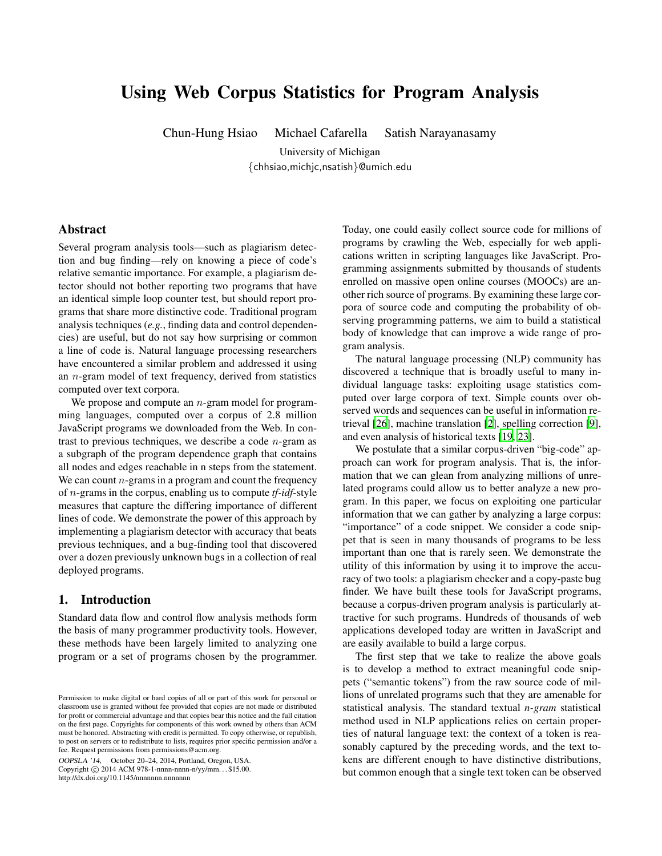# Using Web Corpus Statistics for Program Analysis

Chun-Hung Hsiao Michael Cafarella Satish Narayanasamy

University of Michigan {chhsiao,michjc,nsatish}@umich.edu

## Abstract

Several program analysis tools—such as plagiarism detection and bug finding—rely on knowing a piece of code's relative semantic importance. For example, a plagiarism detector should not bother reporting two programs that have an identical simple loop counter test, but should report programs that share more distinctive code. Traditional program analysis techniques (*e.g.*, finding data and control dependencies) are useful, but do not say how surprising or common a line of code is. Natural language processing researchers have encountered a similar problem and addressed it using an n-gram model of text frequency, derived from statistics computed over text corpora.

We propose and compute an  $n$ -gram model for programming languages, computed over a corpus of 2.8 million JavaScript programs we downloaded from the Web. In contrast to previous techniques, we describe a code  $n$ -gram as a subgraph of the program dependence graph that contains all nodes and edges reachable in n steps from the statement. We can count  $n$ -grams in a program and count the frequency of n-grams in the corpus, enabling us to compute *tf-idf*-style measures that capture the differing importance of different lines of code. We demonstrate the power of this approach by implementing a plagiarism detector with accuracy that beats previous techniques, and a bug-finding tool that discovered over a dozen previously unknown bugs in a collection of real deployed programs.

# 1. Introduction

Standard data flow and control flow analysis methods form the basis of many programmer productivity tools. However, these methods have been largely limited to analyzing one program or a set of programs chosen by the programmer.

OOPSLA '14, October 20–24, 2014, Portland, Oregon, USA. Copyright © 2014 ACM 978-1-nnnn-nnnn-n/yy/mm...\$15.00. http://dx.doi.org/10.1145/nnnnnnn.nnnnnnn

Today, one could easily collect source code for millions of programs by crawling the Web, especially for web applications written in scripting languages like JavaScript. Programming assignments submitted by thousands of students enrolled on massive open online courses (MOOCs) are another rich source of programs. By examining these large corpora of source code and computing the probability of observing programming patterns, we aim to build a statistical body of knowledge that can improve a wide range of program analysis.

The natural language processing (NLP) community has discovered a technique that is broadly useful to many individual language tasks: exploiting usage statistics computed over large corpora of text. Simple counts over observed words and sequences can be useful in information retrieval [\[26\]](#page-13-0), machine translation [\[2](#page-12-0)], spelling correction [\[9](#page-12-1)], and even analysis of historical texts [\[19](#page-13-1), [23](#page-13-2)].

We postulate that a similar corpus-driven "big-code" approach can work for program analysis. That is, the information that we can glean from analyzing millions of unrelated programs could allow us to better analyze a new program. In this paper, we focus on exploiting one particular information that we can gather by analyzing a large corpus: "importance" of a code snippet. We consider a code snippet that is seen in many thousands of programs to be less important than one that is rarely seen. We demonstrate the utility of this information by using it to improve the accuracy of two tools: a plagiarism checker and a copy-paste bug finder. We have built these tools for JavaScript programs, because a corpus-driven program analysis is particularly attractive for such programs. Hundreds of thousands of web applications developed today are written in JavaScript and are easily available to build a large corpus.

The first step that we take to realize the above goals is to develop a method to extract meaningful code snippets ("semantic tokens") from the raw source code of millions of unrelated programs such that they are amenable for statistical analysis. The standard textual *n-gram* statistical method used in NLP applications relies on certain properties of natural language text: the context of a token is reasonably captured by the preceding words, and the text tokens are different enough to have distinctive distributions, but common enough that a single text token can be observed

Permission to make digital or hard copies of all or part of this work for personal or classroom use is granted without fee provided that copies are not made or distributed for profit or commercial advantage and that copies bear this notice and the full citation on the first page. Copyrights for components of this work owned by others than ACM must be honored. Abstracting with credit is permitted. To copy otherwise, or republish, to post on servers or to redistribute to lists, requires prior specific permission and/or a fee. Request permissions from permissions@acm.org.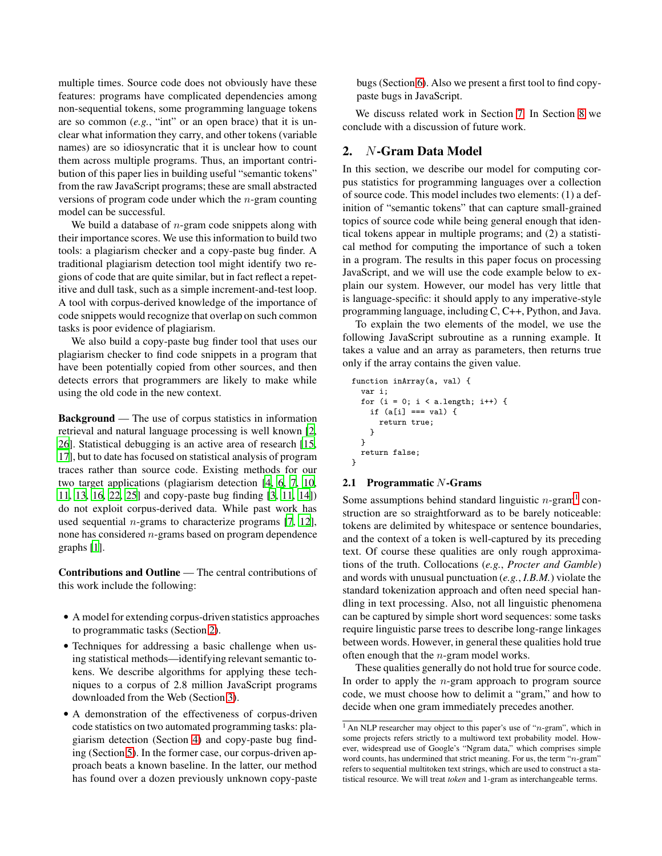multiple times. Source code does not obviously have these features: programs have complicated dependencies among non-sequential tokens, some programming language tokens are so common (*e.g.*, "int" or an open brace) that it is unclear what information they carry, and other tokens (variable names) are so idiosyncratic that it is unclear how to count them across multiple programs. Thus, an important contribution of this paper lies in building useful "semantic tokens" from the raw JavaScript programs; these are small abstracted versions of program code under which the  $n$ -gram counting model can be successful.

We build a database of  $n$ -gram code snippets along with their importance scores. We use this information to build two tools: a plagiarism checker and a copy-paste bug finder. A traditional plagiarism detection tool might identify two regions of code that are quite similar, but in fact reflect a repetitive and dull task, such as a simple increment-and-test loop. A tool with corpus-derived knowledge of the importance of code snippets would recognize that overlap on such common tasks is poor evidence of plagiarism.

We also build a copy-paste bug finder tool that uses our plagiarism checker to find code snippets in a program that have been potentially copied from other sources, and then detects errors that programmers are likely to make while using the old code in the new context.

Background — The use of corpus statistics in information retrieval and natural language processing is well known [\[2,](#page-12-0) [26\]](#page-13-0). Statistical debugging is an active area of research [\[15,](#page-13-3) [17\]](#page-13-4), but to date has focused on statistical analysis of program traces rather than source code. Existing methods for our two target applications (plagiarism detection [\[4,](#page-12-2) [6](#page-12-3), [7,](#page-12-4) [10,](#page-12-5) [11,](#page-12-6) [13,](#page-12-7) [16,](#page-13-5) [22](#page-13-6), [25\]](#page-13-7) and copy-paste bug finding [\[3](#page-12-8), [11,](#page-12-6) [14\]](#page-13-8)) do not exploit corpus-derived data. While past work has used sequential *n*-grams to characterize programs  $[7, 12]$  $[7, 12]$  $[7, 12]$ , none has considered n-grams based on program dependence graphs [\[1](#page-12-10)].

Contributions and Outline — The central contributions of this work include the following:

- A model for extending corpus-driven statistics approaches to programmatic tasks (Section [2\)](#page-1-0).
- Techniques for addressing a basic challenge when using statistical methods—identifying relevant semantic tokens. We describe algorithms for applying these techniques to a corpus of 2.8 million JavaScript programs downloaded from the Web (Section [3\)](#page-3-0).
- A demonstration of the effectiveness of corpus-driven code statistics on two automated programming tasks: plagiarism detection (Section [4\)](#page-6-0) and copy-paste bug finding (Section [5\)](#page-6-1). In the former case, our corpus-driven approach beats a known baseline. In the latter, our method has found over a dozen previously unknown copy-paste

bugs (Section [6\)](#page-8-0). Also we present a first tool to find copypaste bugs in JavaScript.

We discuss related work in Section [7.](#page-11-0) In Section [8](#page-12-11) we conclude with a discussion of future work.

# <span id="page-1-0"></span>2. N-Gram Data Model

In this section, we describe our model for computing corpus statistics for programming languages over a collection of source code. This model includes two elements: (1) a definition of "semantic tokens" that can capture small-grained topics of source code while being general enough that identical tokens appear in multiple programs; and (2) a statistical method for computing the importance of such a token in a program. The results in this paper focus on processing JavaScript, and we will use the code example below to explain our system. However, our model has very little that is language-specific: it should apply to any imperative-style programming language, including C, C++, Python, and Java.

To explain the two elements of the model, we use the following JavaScript subroutine as a running example. It takes a value and an array as parameters, then returns true only if the array contains the given value.

```
function inArray(a, val) {
  var i;
  for (i = 0; i < a.length; i++) {
    if (a[i] === val) {
     return true;
    }
 }
  return false;
}
```
## 2.1 Programmatic N-Grams

Some assumptions behind standard linguistic  $n$ -gram<sup>[1](#page-1-1)</sup> construction are so straightforward as to be barely noticeable: tokens are delimited by whitespace or sentence boundaries, and the context of a token is well-captured by its preceding text. Of course these qualities are only rough approximations of the truth. Collocations (*e.g.*, *Procter and Gamble*) and words with unusual punctuation (*e.g.*, *I.B.M.*) violate the standard tokenization approach and often need special handling in text processing. Also, not all linguistic phenomena can be captured by simple short word sequences: some tasks require linguistic parse trees to describe long-range linkages between words. However, in general these qualities hold true often enough that the n-gram model works.

These qualities generally do not hold true for source code. In order to apply the  $n$ -gram approach to program source code, we must choose how to delimit a "gram," and how to decide when one gram immediately precedes another.

<span id="page-1-1"></span> $1$  An NLP researcher may object to this paper's use of "n-gram", which in some projects refers strictly to a multiword text probability model. However, widespread use of Google's "Ngram data," which comprises simple word counts, has undermined that strict meaning. For us, the term " $n$ -gram" refers to sequential multitoken text strings, which are used to construct a statistical resource. We will treat *token* and 1-gram as interchangeable terms.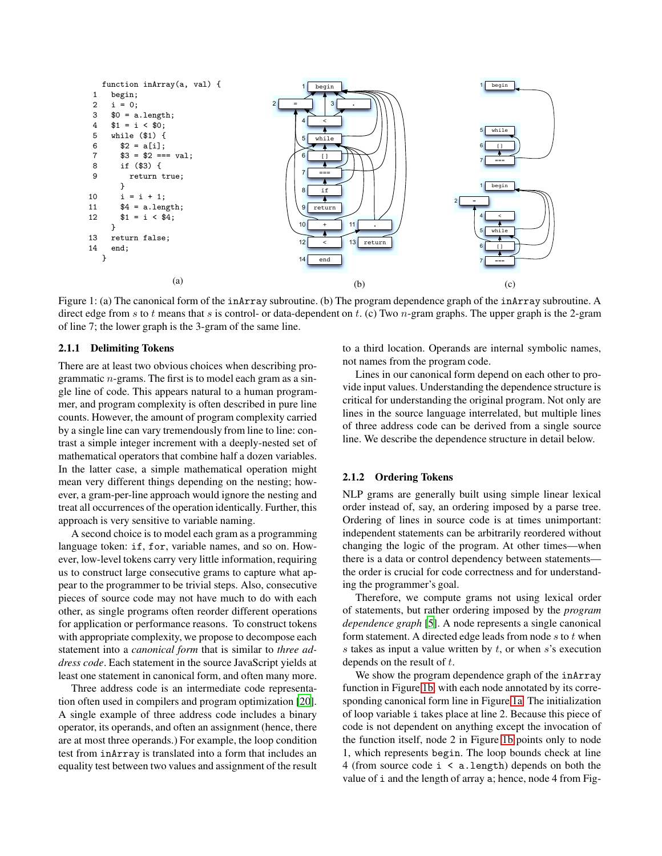<span id="page-2-0"></span>

Figure 1: (a) The canonical form of the inArray subroutine. (b) The program dependence graph of the inArray subroutine. A direct edge from s to t means that s is control- or data-dependent on t. (c) Two n-gram graphs. The upper graph is the 2-gram of line 7; the lower graph is the 3-gram of the same line.

#### 2.1.1 Delimiting Tokens

There are at least two obvious choices when describing programmatic  $n$ -grams. The first is to model each gram as a single line of code. This appears natural to a human programmer, and program complexity is often described in pure line counts. However, the amount of program complexity carried by a single line can vary tremendously from line to line: contrast a simple integer increment with a deeply-nested set of mathematical operators that combine half a dozen variables. In the latter case, a simple mathematical operation might mean very different things depending on the nesting; however, a gram-per-line approach would ignore the nesting and treat all occurrences of the operation identically. Further, this approach is very sensitive to variable naming.

A second choice is to model each gram as a programming language token: if, for, variable names, and so on. However, low-level tokens carry very little information, requiring us to construct large consecutive grams to capture what appear to the programmer to be trivial steps. Also, consecutive pieces of source code may not have much to do with each other, as single programs often reorder different operations for application or performance reasons. To construct tokens with appropriate complexity, we propose to decompose each statement into a *canonical form* that is similar to *three address code*. Each statement in the source JavaScript yields at least one statement in canonical form, and often many more.

Three address code is an intermediate code representation often used in compilers and program optimization [\[20](#page-13-9)]. A single example of three address code includes a binary operator, its operands, and often an assignment (hence, there are at most three operands.) For example, the loop condition test from inArray is translated into a form that includes an equality test between two values and assignment of the result to a third location. Operands are internal symbolic names, not names from the program code.

Lines in our canonical form depend on each other to provide input values. Understanding the dependence structure is critical for understanding the original program. Not only are lines in the source language interrelated, but multiple lines of three address code can be derived from a single source line. We describe the dependence structure in detail below.

#### 2.1.2 Ordering Tokens

NLP grams are generally built using simple linear lexical order instead of, say, an ordering imposed by a parse tree. Ordering of lines in source code is at times unimportant: independent statements can be arbitrarily reordered without changing the logic of the program. At other times—when there is a data or control dependency between statements the order is crucial for code correctness and for understanding the programmer's goal.

Therefore, we compute grams not using lexical order of statements, but rather ordering imposed by the *program dependence graph* [\[5](#page-12-12)]. A node represents a single canonical form statement. A directed edge leads from node  $s$  to  $t$  when s takes as input a value written by  $t$ , or when  $s$ 's execution depends on the result of t.

We show the program dependence graph of the inArray function in Figure [1b,](#page-2-0) with each node annotated by its corresponding canonical form line in Figure [1a.](#page-2-0) The initialization of loop variable i takes place at line 2. Because this piece of code is not dependent on anything except the invocation of the function itself, node 2 in Figure [1b](#page-2-0) points only to node 1, which represents begin. The loop bounds check at line 4 (from source code i < a.length) depends on both the value of i and the length of array a; hence, node 4 from Fig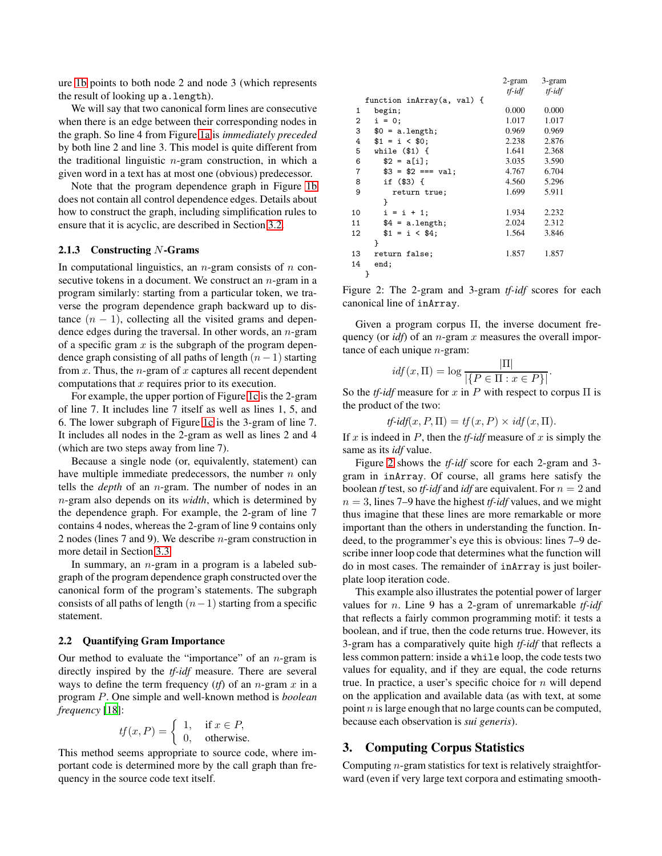ure [1b](#page-2-0) points to both node 2 and node 3 (which represents the result of looking up a.length).

We will say that two canonical form lines are consecutive when there is an edge between their corresponding nodes in the graph. So line 4 from Figure [1a](#page-2-0) is *immediately preceded* by both line 2 and line 3. This model is quite different from the traditional linguistic  $n$ -gram construction, in which a given word in a text has at most one (obvious) predecessor.

Note that the program dependence graph in Figure [1b](#page-2-0) does not contain all control dependence edges. Details about how to construct the graph, including simplification rules to ensure that it is acyclic, are described in Section [3.2.](#page-4-0)

#### 2.1.3 Constructing N-Grams

In computational linguistics, an  $n$ -gram consists of  $n$  consecutive tokens in a document. We construct an  $n$ -gram in a program similarly: starting from a particular token, we traverse the program dependence graph backward up to distance  $(n - 1)$ , collecting all the visited grams and dependence edges during the traversal. In other words, an  $n$ -gram of a specific gram  $x$  is the subgraph of the program dependence graph consisting of all paths of length  $(n - 1)$  starting from  $x$ . Thus, the *n*-gram of  $x$  captures all recent dependent computations that  $x$  requires prior to its execution.

For example, the upper portion of Figure [1c](#page-2-0) is the 2-gram of line 7. It includes line 7 itself as well as lines 1, 5, and 6. The lower subgraph of Figure [1c](#page-2-0) is the 3-gram of line 7. It includes all nodes in the 2-gram as well as lines 2 and 4 (which are two steps away from line 7).

Because a single node (or, equivalently, statement) can have multiple immediate predecessors, the number  $n$  only tells the *depth* of an n-gram. The number of nodes in an n-gram also depends on its *width*, which is determined by the dependence graph. For example, the 2-gram of line 7 contains 4 nodes, whereas the 2-gram of line 9 contains only 2 nodes (lines 7 and 9). We describe n-gram construction in more detail in Section [3.3.](#page-5-0)

In summary, an  $n$ -gram in a program is a labeled subgraph of the program dependence graph constructed over the canonical form of the program's statements. The subgraph consists of all paths of length  $(n-1)$  starting from a specific statement.

#### 2.2 Quantifying Gram Importance

Our method to evaluate the "importance" of an  $n$ -gram is directly inspired by the *tf-idf* measure. There are several ways to define the term frequency  $(tf)$  of an *n*-gram x in a program P. One simple and well-known method is *boolean frequency* [\[18\]](#page-13-10):

$$
tf(x, P) = \begin{cases} 1, & \text{if } x \in P, \\ 0, & \text{otherwise.} \end{cases}
$$

This method seems appropriate to source code, where important code is determined more by the call graph than frequency in the source code text itself.

<span id="page-3-1"></span>

|              |   |                            | 2-gram | 3-gram |
|--------------|---|----------------------------|--------|--------|
|              |   |                            | tf-idf | tf-idf |
|              |   | function inArray(a, val) { |        |        |
| $\mathbf{1}$ |   | begin;                     | 0.000  | 0.000  |
| 2            |   | $i = 0:$                   | 1.017  | 1.017  |
| 3            |   | $$0 = a.length;$           | 0.969  | 0.969  |
| 4            |   | $$1 = i < $0$ :            | 2.238  | 2.876  |
| 5            |   | while $(\$1)$ {            | 1.641  | 2.368  |
| 6            |   | $$2 = a[i];$               | 3.035  | 3.590  |
| 7            |   | $$3 = $2 == val;$          | 4.767  | 6.704  |
| 8            |   | if $(\$3)$ {               | 4.560  | 5.296  |
| 9            |   | return true;               | 1.699  | 5.911  |
|              |   | ł                          |        |        |
| 10           |   | $i = i + 1;$               | 1.934  | 2.232  |
| 11           |   | $$4 = a.length;$           | 2.024  | 2.312  |
| 12           |   | $$1 = i < $4$ :            | 1.564  | 3.846  |
|              | ł |                            |        |        |
| 13           |   | return false;              | 1.857  | 1.857  |
| 14           |   | end;                       |        |        |
|              | ጉ |                            |        |        |

Figure 2: The 2-gram and 3-gram *tf-idf* scores for each canonical line of inArray.

Given a program corpus Π, the inverse document frequency (or  $\frac{idf}{dt}$ ) of an *n*-gram x measures the overall importance of each unique n-gram:

$$
idf(x, \Pi) = \log \frac{|\Pi|}{|\{P \in \Pi : x \in P\}|}.
$$

So the *tf-idf* measure for x in P with respect to corpus  $\Pi$  is the product of the two:

$$
tf \text{-} \text{idf}(x, P, \Pi) = tf(x, P) \times \text{idf}(x, \Pi).
$$

If  $x$  is indeed in  $P$ , then the *tf-idf* measure of  $x$  is simply the same as its *idf* value.

Figure [2](#page-3-1) shows the *tf-idf* score for each 2-gram and 3 gram in inArray. Of course, all grams here satisfy the boolean *tf* test, so *tf-idf* and *idf* are equivalent. For  $n = 2$  and  $n = 3$ , lines 7–9 have the highest *tf-idf* values, and we might thus imagine that these lines are more remarkable or more important than the others in understanding the function. Indeed, to the programmer's eye this is obvious: lines 7–9 describe inner loop code that determines what the function will do in most cases. The remainder of inArray is just boilerplate loop iteration code.

This example also illustrates the potential power of larger values for n. Line 9 has a 2-gram of unremarkable *tf-idf* that reflects a fairly common programming motif: it tests a boolean, and if true, then the code returns true. However, its 3-gram has a comparatively quite high *tf-idf* that reflects a less common pattern: inside a while loop, the code tests two values for equality, and if they are equal, the code returns true. In practice, a user's specific choice for  $n$  will depend on the application and available data (as with text, at some point  $n$  is large enough that no large counts can be computed, because each observation is *sui generis*).

# <span id="page-3-0"></span>3. Computing Corpus Statistics

Computing  $n$ -gram statistics for text is relatively straightforward (even if very large text corpora and estimating smooth-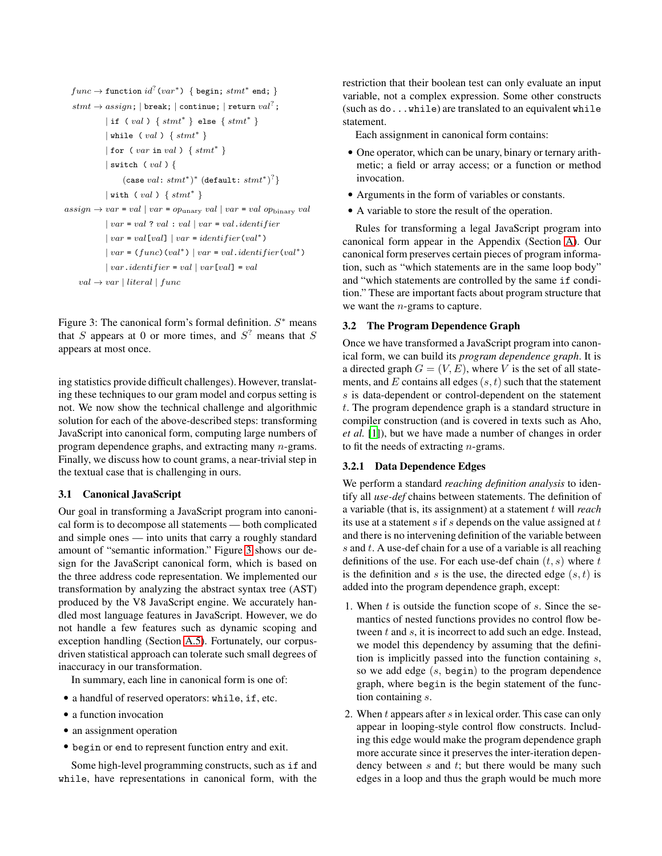```
func\rightarrow {\tt function}\ id^?{(var^*)}\ \left\{\ {\text{begin}};\ stmt^* \ \text{end};\ \right\}stmt \rightarrow assign\,; \vert break; \vert continue; \vert return val^{?} ;
              | if ( val ) \{ stmt^* } else \{ stmt^* }
              | while ( val ) { stmt^* }
              | for ( var in val ) \{ stmt^* \}| switch (val) {
                    (\texttt{case}\; val\colon \mathit{stmt}^*)^* \; (\texttt{default}\colon \mathit{stmt}^*)^?| with ( val ) { stmt^*}
assign \rightarrow var = val \mid var = op_{unary} val \mid var = val \ op_{binary} val|var = val ? val : val |var = val. identifier
              \vert var = val[val] \vert var = identifier(val^*)\vert var = (func)(val^*) \vert var = val.identifier(val^*)\vert var.identifier = val \vert var[val] = valval \rightarrow var \mid literal \mid func
```
Figure 3: The canonical form's formal definition.  $S^*$  means that S appears at 0 or more times, and  $S<sup>?</sup>$  means that S appears at most once.

ing statistics provide difficult challenges). However, translating these techniques to our gram model and corpus setting is not. We now show the technical challenge and algorithmic solution for each of the above-described steps: transforming JavaScript into canonical form, computing large numbers of program dependence graphs, and extracting many n-grams. Finally, we discuss how to count grams, a near-trivial step in the textual case that is challenging in ours.

## 3.1 Canonical JavaScript

Our goal in transforming a JavaScript program into canonical form is to decompose all statements — both complicated and simple ones — into units that carry a roughly standard amount of "semantic information." Figure [3](#page-4-1) shows our design for the JavaScript canonical form, which is based on the three address code representation. We implemented our transformation by analyzing the abstract syntax tree (AST) produced by the V8 JavaScript engine. We accurately handled most language features in JavaScript. However, we do not handle a few features such as dynamic scoping and exception handling (Section [A.5\)](#page-16-0). Fortunately, our corpusdriven statistical approach can tolerate such small degrees of inaccuracy in our transformation.

In summary, each line in canonical form is one of:

- a handful of reserved operators: while, if, etc.
- a function invocation
- an assignment operation
- begin or end to represent function entry and exit.

Some high-level programming constructs, such as if and while, have representations in canonical form, with the restriction that their boolean test can only evaluate an input variable, not a complex expression. Some other constructs (such as do...while) are translated to an equivalent while statement.

Each assignment in canonical form contains:

- One operator, which can be unary, binary or ternary arithmetic; a field or array access; or a function or method invocation.
- Arguments in the form of variables or constants.
- A variable to store the result of the operation.

Rules for transforming a legal JavaScript program into canonical form appear in the Appendix (Section [A\)](#page-14-0). Our canonical form preserves certain pieces of program information, such as "which statements are in the same loop body" and "which statements are controlled by the same if condition." These are important facts about program structure that we want the *n*-grams to capture.

### <span id="page-4-0"></span>3.2 The Program Dependence Graph

Once we have transformed a JavaScript program into canonical form, we can build its *program dependence graph*. It is a directed graph  $G = (V, E)$ , where V is the set of all statements, and  $E$  contains all edges  $(s, t)$  such that the statement s is data-dependent or control-dependent on the statement t. The program dependence graph is a standard structure in compiler construction (and is covered in texts such as Aho, *et al.* [\[1\]](#page-12-10)), but we have made a number of changes in order to fit the needs of extracting  $n$ -grams.

#### 3.2.1 Data Dependence Edges

We perform a standard *reaching definition analysis* to identify all *use-def* chains between statements. The definition of a variable (that is, its assignment) at a statement t will *reach* its use at a statement  $s$  if  $s$  depends on the value assigned at  $t$ and there is no intervening definition of the variable between  $s$  and  $t$ . A use-def chain for a use of a variable is all reaching definitions of the use. For each use-def chain  $(t, s)$  where  $t$ is the definition and s is the use, the directed edge  $(s, t)$  is added into the program dependence graph, except:

- 1. When  $t$  is outside the function scope of  $s$ . Since the semantics of nested functions provides no control flow between t and s, it is incorrect to add such an edge. Instead, we model this dependency by assuming that the definition is implicitly passed into the function containing  $s$ , so we add edge  $(s, \text{begin})$  to the program dependence graph, where begin is the begin statement of the function containing s.
- 2. When  $t$  appears after  $s$  in lexical order. This case can only appear in looping-style control flow constructs. Including this edge would make the program dependence graph more accurate since it preserves the inter-iteration dependency between  $s$  and  $t$ ; but there would be many such edges in a loop and thus the graph would be much more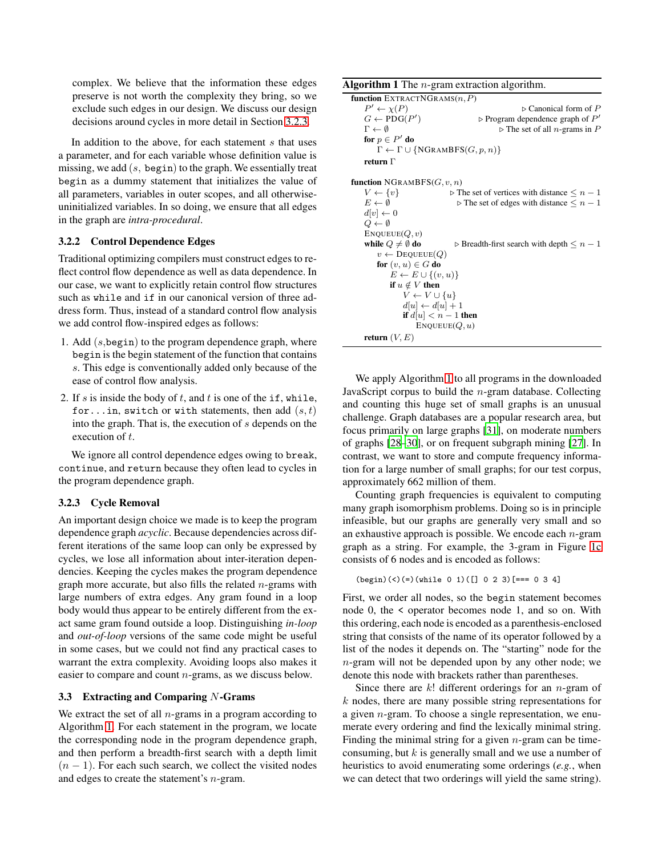complex. We believe that the information these edges preserve is not worth the complexity they bring, so we exclude such edges in our design. We discuss our design decisions around cycles in more detail in Section [3.2.3.](#page-5-1)

In addition to the above, for each statement  $s$  that uses a parameter, and for each variable whose definition value is missing, we add  $(s, \text{begin})$  to the graph. We essentially treat begin as a dummy statement that initializes the value of all parameters, variables in outer scopes, and all otherwiseuninitialized variables. In so doing, we ensure that all edges in the graph are *intra-procedural*.

#### 3.2.2 Control Dependence Edges

Traditional optimizing compilers must construct edges to reflect control flow dependence as well as data dependence. In our case, we want to explicitly retain control flow structures such as while and if in our canonical version of three address form. Thus, instead of a standard control flow analysis we add control flow-inspired edges as follows:

- 1. Add  $(s, \text{begin})$  to the program dependence graph, where begin is the begin statement of the function that contains s. This edge is conventionally added only because of the ease of control flow analysis.
- 2. If s is inside the body of  $t$ , and  $t$  is one of the if, while, for...in, switch or with statements, then add  $(s, t)$ into the graph. That is, the execution of s depends on the execution of t.

We ignore all control dependence edges owing to break, continue, and return because they often lead to cycles in the program dependence graph.

#### <span id="page-5-1"></span>3.2.3 Cycle Removal

An important design choice we made is to keep the program dependence graph *acyclic*. Because dependencies across different iterations of the same loop can only be expressed by cycles, we lose all information about inter-iteration dependencies. Keeping the cycles makes the program dependence graph more accurate, but also fills the related  $n$ -grams with large numbers of extra edges. Any gram found in a loop body would thus appear to be entirely different from the exact same gram found outside a loop. Distinguishing *in-loop* and *out-of-loop* versions of the same code might be useful in some cases, but we could not find any practical cases to warrant the extra complexity. Avoiding loops also makes it easier to compare and count n-grams, as we discuss below.

## <span id="page-5-0"></span>3.3 Extracting and Comparing N-Grams

We extract the set of all  $n$ -grams in a program according to Algorithm 1. For each statement in the program, we locate the corresponding node in the program dependence graph, and then perform a breadth-first search with a depth limit  $(n - 1)$ . For each such search, we collect the visited nodes and edges to create the statement's  $n$ -gram.

Algorithm 1 The *n*-gram extraction algorithm. function  $\text{EXTRACTNGRAMS}(n,P)$  $P' \leftarrow \chi(P)$  $\triangleright$  Canonical form of P  $G \leftarrow \widetilde{\text{PDG}}(P)$  $\triangleright$  Program dependence graph of  $P'$  $\Gamma \leftarrow \emptyset$  > The set of all *n*-grams in P for  $p \in P'$  do  $\Gamma \leftarrow \Gamma \cup \{ \text{NGRAMBFS}(G, p, n) \}$ return Γ function  $NGRAMBFS(G, v, n)$  $V \leftarrow \{v\}$   $\triangleright$  The set of vertices with distance  $\leq n-1$  $E \leftarrow \emptyset$  > The set of edges with distance  $\leq n-1$  $d[v] \leftarrow 0$  $Q \leftarrow \emptyset$  $\label{eq:ex1} \begin{array}{l} \textrm{ENQUEUE}(Q, v) \\ \textrm{while } Q \neq \emptyset \textrm{ do} \end{array}$  $\triangleright$  Breadth-first search with depth  $\leq n - 1$  $v \leftarrow \text{Dequeue}(Q)$ for  $(v, u) \in G$  do  $E \leftarrow E \cup \{(v, u)\}\$ if  $u \notin V$  then  $V \leftarrow V \cup \{u\}$  $d[u] \leftarrow d[u] + 1$ if  $d[u] < n - 1$  then  $\text{ENQUEUE}(Q, u)$ return  $(V, E)$ 

We apply Algorithm 1 to all programs in the downloaded JavaScript corpus to build the  $n$ -gram database. Collecting and counting this huge set of small graphs is an unusual challenge. Graph databases are a popular research area, but focus primarily on large graphs [\[31](#page-13-11)], on moderate numbers of graphs [\[28](#page-13-12)[–30](#page-13-13)], or on frequent subgraph mining [\[27](#page-13-14)]. In contrast, we want to store and compute frequency information for a large number of small graphs; for our test corpus, approximately 662 million of them.

Counting graph frequencies is equivalent to computing many graph isomorphism problems. Doing so is in principle infeasible, but our graphs are generally very small and so an exhaustive approach is possible. We encode each  $n$ -gram graph as a string. For example, the 3-gram in Figure [1c](#page-2-0) consists of 6 nodes and is encoded as follows:

 $(\text{begin})(\lt)(=)(\text{while } 0 \ 1)([] 0 2 3)$  [=== 0 3 4]

First, we order all nodes, so the begin statement becomes node 0, the < operator becomes node 1, and so on. With this ordering, each node is encoded as a parenthesis-enclosed string that consists of the name of its operator followed by a list of the nodes it depends on. The "starting" node for the  $n$ -gram will not be depended upon by any other node; we denote this node with brackets rather than parentheses.

Since there are  $k!$  different orderings for an *n*-gram of k nodes, there are many possible string representations for a given n-gram. To choose a single representation, we enumerate every ordering and find the lexically minimal string. Finding the minimal string for a given  $n$ -gram can be timeconsuming, but  $k$  is generally small and we use a number of heuristics to avoid enumerating some orderings (*e.g.*, when we can detect that two orderings will yield the same string).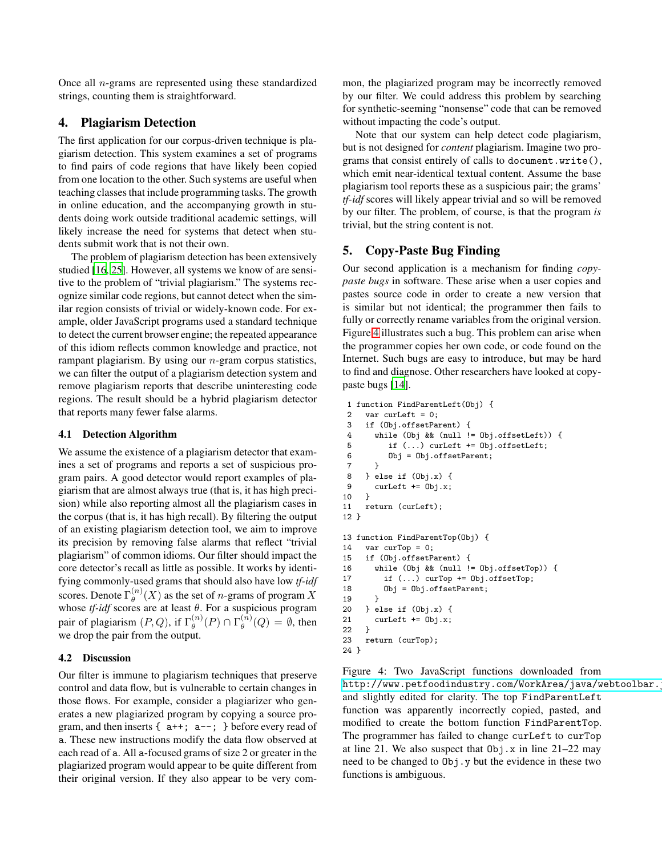Once all n-grams are represented using these standardized strings, counting them is straightforward.

## <span id="page-6-0"></span>4. Plagiarism Detection

The first application for our corpus-driven technique is plagiarism detection. This system examines a set of programs to find pairs of code regions that have likely been copied from one location to the other. Such systems are useful when teaching classes that include programming tasks. The growth in online education, and the accompanying growth in students doing work outside traditional academic settings, will likely increase the need for systems that detect when students submit work that is not their own.

The problem of plagiarism detection has been extensively studied [\[16](#page-13-5), [25\]](#page-13-7). However, all systems we know of are sensitive to the problem of "trivial plagiarism." The systems recognize similar code regions, but cannot detect when the similar region consists of trivial or widely-known code. For example, older JavaScript programs used a standard technique to detect the current browser engine; the repeated appearance of this idiom reflects common knowledge and practice, not rampant plagiarism. By using our  $n$ -gram corpus statistics, we can filter the output of a plagiarism detection system and remove plagiarism reports that describe uninteresting code regions. The result should be a hybrid plagiarism detector that reports many fewer false alarms.

#### 4.1 Detection Algorithm

We assume the existence of a plagiarism detector that examines a set of programs and reports a set of suspicious program pairs. A good detector would report examples of plagiarism that are almost always true (that is, it has high precision) while also reporting almost all the plagiarism cases in the corpus (that is, it has high recall). By filtering the output of an existing plagiarism detection tool, we aim to improve its precision by removing false alarms that reflect "trivial plagiarism" of common idioms. Our filter should impact the core detector's recall as little as possible. It works by identifying commonly-used grams that should also have low *tf-idf* scores. Denote  $\Gamma_{\theta}^{(n)}(X)$  as the set of *n*-grams of program  $X$ whose *tf-idf* scores are at least θ. For a suspicious program pair of plagiarism  $(P,Q)$ , if  $\Gamma_{\theta}^{(n)}(P) \cap \Gamma_{\theta}^{(n)}(Q) = \emptyset$ , then we drop the pair from the output.

## 4.2 Discussion

Our filter is immune to plagiarism techniques that preserve control and data flow, but is vulnerable to certain changes in those flows. For example, consider a plagiarizer who generates a new plagiarized program by copying a source program, and then inserts  $\{a++; a--; \}$  before every read of a. These new instructions modify the data flow observed at each read of a. All a-focused grams of size 2 or greater in the plagiarized program would appear to be quite different from their original version. If they also appear to be very common, the plagiarized program may be incorrectly removed by our filter. We could address this problem by searching for synthetic-seeming "nonsense" code that can be removed without impacting the code's output.

Note that our system can help detect code plagiarism, but is not designed for *content* plagiarism. Imagine two programs that consist entirely of calls to document.write(), which emit near-identical textual content. Assume the base plagiarism tool reports these as a suspicious pair; the grams' *tf-idf* scores will likely appear trivial and so will be removed by our filter. The problem, of course, is that the program *is* trivial, but the string content is not.

# <span id="page-6-1"></span>5. Copy-Paste Bug Finding

Our second application is a mechanism for finding *copypaste bugs* in software. These arise when a user copies and pastes source code in order to create a new version that is similar but not identical; the programmer then fails to fully or correctly rename variables from the original version. Figure [4](#page-6-2) illustrates such a bug. This problem can arise when the programmer copies her own code, or code found on the Internet. Such bugs are easy to introduce, but may be hard to find and diagnose. Other researchers have looked at copypaste bugs [\[14\]](#page-13-8).

```
1 function FindParentLeft(Obj) {
 2 var curLeft = 0;
 3 if (Obj.offsetParent) {
 4 while (Obj && (null != Obj.offsetLeft)) {
 5 if (...) curLeft += Obj.offsetLeft;
 6 Obj = Obj.offsetParent;
      7 }
 8 } else if (Obj.x) {
9 curLeft += Obj.x;
10 }
11 return (curLeft);
12 }
13 function FindParentTop(Obj) {
14 var curTop = 0;
15 if (Obj.offsetParent) {
16 while (Obj && (null != Obj.offsetTop)) {
17 if (...) curTop += Obj.offsetTop;
18 Obj = Obj.offsetParent;
19 }
20 } else if (Obj.x) {
21 curLeft += 0bj.x;<br>22 }
22 }
23 return (curTop);
24 }
```
Figure 4: Two JavaScript functions downloaded from [http://www.petfoodindustry.com/WorkArea/java/webtoolbar.j](http://www.petfoodindustry.com/WorkArea/java/webtoolbar.js) and slightly edited for clarity. The top FindParentLeft function was apparently incorrectly copied, pasted, and modified to create the bottom function FindParentTop. The programmer has failed to change curLeft to curTop at line 21. We also suspect that  $Obj.x$  in line 21–22 may need to be changed to Obj.y but the evidence in these two functions is ambiguous.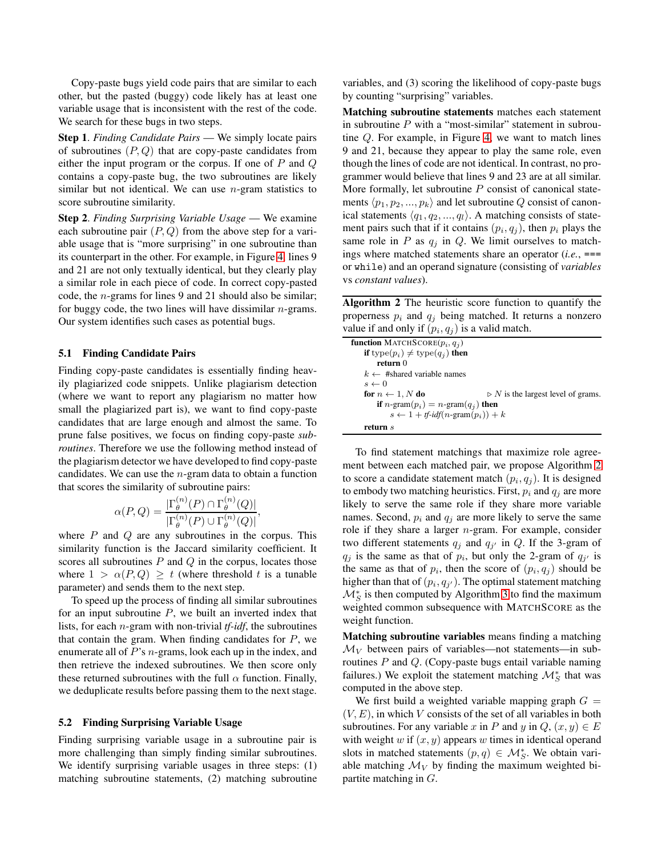Copy-paste bugs yield code pairs that are similar to each other, but the pasted (buggy) code likely has at least one variable usage that is inconsistent with the rest of the code. We search for these bugs in two steps.

Step 1. *Finding Candidate Pairs* — We simply locate pairs of subroutines  $(P, Q)$  that are copy-paste candidates from either the input program or the corpus. If one of  $P$  and  $Q$ contains a copy-paste bug, the two subroutines are likely similar but not identical. We can use  $n$ -gram statistics to score subroutine similarity.

Step 2. *Finding Surprising Variable Usage* — We examine each subroutine pair  $(P, Q)$  from the above step for a variable usage that is "more surprising" in one subroutine than its counterpart in the other. For example, in Figure [4,](#page-6-2) lines 9 and 21 are not only textually identical, but they clearly play a similar role in each piece of code. In correct copy-pasted code, the n-grams for lines 9 and 21 should also be similar; for buggy code, the two lines will have dissimilar  $n$ -grams. Our system identifies such cases as potential bugs.

#### <span id="page-7-0"></span>5.1 Finding Candidate Pairs

Finding copy-paste candidates is essentially finding heavily plagiarized code snippets. Unlike plagiarism detection (where we want to report any plagiarism no matter how small the plagiarized part is), we want to find copy-paste candidates that are large enough and almost the same. To prune false positives, we focus on finding copy-paste *subroutines*. Therefore we use the following method instead of the plagiarism detector we have developed to find copy-paste candidates. We can use the  $n$ -gram data to obtain a function that scores the similarity of subroutine pairs:

$$
\alpha(P,Q) = \frac{|\Gamma_{\theta}^{(n)}(P) \cap \Gamma_{\theta}^{(n)}(Q)|}{|\Gamma_{\theta}^{(n)}(P) \cup \Gamma_{\theta}^{(n)}(Q)|},
$$

where  $P$  and  $Q$  are any subroutines in the corpus. This similarity function is the Jaccard similarity coefficient. It scores all subroutines  $P$  and  $Q$  in the corpus, locates those where  $1 > \alpha(P,Q) \geq t$  (where threshold t is a tunable parameter) and sends them to the next step.

To speed up the process of finding all similar subroutines for an input subroutine  $P$ , we built an inverted index that lists, for each n-gram with non-trivial *tf-idf*, the subroutines that contain the gram. When finding candidates for  $P$ , we enumerate all of P's n-grams, look each up in the index, and then retrieve the indexed subroutines. We then score only these returned subroutines with the full  $\alpha$  function. Finally, we deduplicate results before passing them to the next stage.

#### <span id="page-7-1"></span>5.2 Finding Surprising Variable Usage

Finding surprising variable usage in a subroutine pair is more challenging than simply finding similar subroutines. We identify surprising variable usages in three steps: (1) matching subroutine statements, (2) matching subroutine

variables, and (3) scoring the likelihood of copy-paste bugs by counting "surprising" variables.

Matching subroutine statements matches each statement in subroutine  $P$  with a "most-similar" statement in subroutine Q. For example, in Figure [4,](#page-6-2) we want to match lines 9 and 21, because they appear to play the same role, even though the lines of code are not identical. In contrast, no programmer would believe that lines 9 and 23 are at all similar. More formally, let subroutine  $P$  consist of canonical statements  $\langle p_1, p_2, ..., p_k \rangle$  and let subroutine Q consist of canonical statements  $\langle q_1, q_2, ..., q_l \rangle$ . A matching consists of statement pairs such that if it contains  $(p_i, q_j)$ , then  $p_i$  plays the same role in P as  $q_j$  in Q. We limit ourselves to matchings where matched statements share an operator (*i.e.*, === or while) and an operand signature (consisting of *variables* vs *constant values*).

Algorithm 2 The heuristic score function to quantify the properness  $p_i$  and  $q_j$  being matched. It returns a nonzero value if and only if  $(p_i, q_j)$  is a valid match.

| <b>function</b> MATCHSCORE $(p_i, q_i)$                  |                                                   |
|----------------------------------------------------------|---------------------------------------------------|
| <b>if</b> type $(p_i) \neq$ type $(q_i)$ then            |                                                   |
| return 0                                                 |                                                   |
| $k \leftarrow$ #shared variable names                    |                                                   |
| $s \leftarrow 0$                                         |                                                   |
| for $n \leftarrow 1, N$ do                               | $\triangleright$ N is the largest level of grams. |
| if $n\text{-gram}(p_i) = n\text{-gram}(q_i)$ then        |                                                   |
| $s \leftarrow 1 + \text{tf-idf}(n\text{-gram}(p_i)) + k$ |                                                   |
| return s                                                 |                                                   |
|                                                          |                                                   |

To find statement matchings that maximize role agreement between each matched pair, we propose Algorithm 2 to score a candidate statement match  $(p_i, q_j)$ . It is designed to embody two matching heuristics. First,  $p_i$  and  $q_j$  are more likely to serve the same role if they share more variable names. Second,  $p_i$  and  $q_j$  are more likely to serve the same role if they share a larger  $n$ -gram. For example, consider two different statements  $q_j$  and  $q_{j'}$  in Q. If the 3-gram of  $q_j$  is the same as that of  $p_i$ , but only the 2-gram of  $q_{j'}$  is the same as that of  $p_i$ , then the score of  $(p_i, q_j)$  should be higher than that of  $(p_i, q_{j'})$ . The optimal statement matching  $\mathcal{M}_S^*$  is then computed by Algorithm 3 to find the maximum weighted common subsequence with MATCHSCORE as the weight function.

Matching subroutine variables means finding a matching  $\mathcal{M}_V$  between pairs of variables—not statements—in subroutines  $P$  and  $Q$ . (Copy-paste bugs entail variable naming failures.) We exploit the statement matching  $\mathcal{M}_{S}^{*}$  that was computed in the above step.

We first build a weighted variable mapping graph  $G =$  $(V, E)$ , in which V consists of the set of all variables in both subroutines. For any variable x in P and y in  $Q, (x, y) \in E$ with weight  $w$  if  $(x, y)$  appears  $w$  times in identical operand slots in matched statements  $(p, q) \in \mathcal{M}_{S}^{*}$ . We obtain variable matching  $\mathcal{M}_V$  by finding the maximum weighted bipartite matching in G.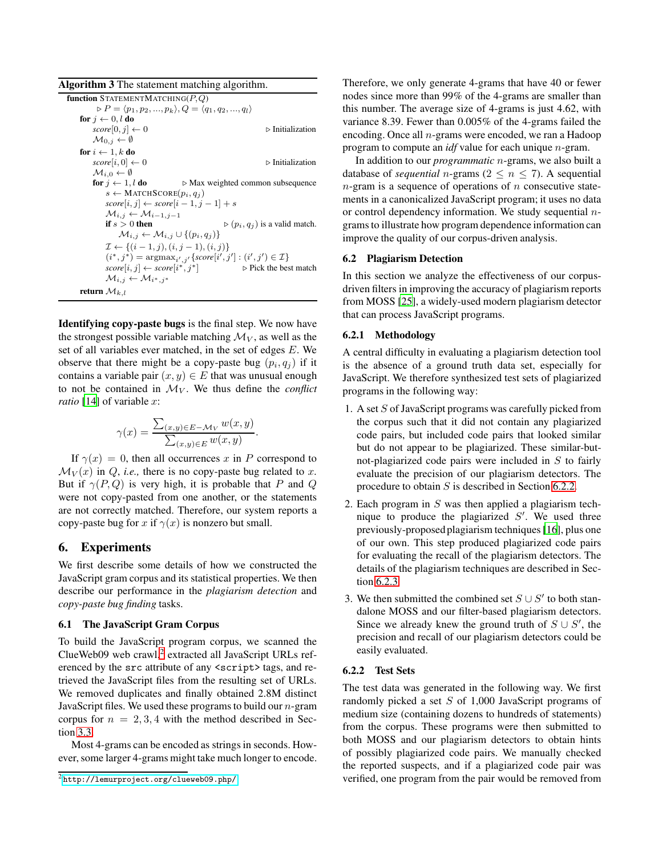| Algorithm 3 The statement matching algorithm. |
|-----------------------------------------------|
|-----------------------------------------------|

function STATEMENTMATCHING(P,Q)  $\triangleright P = \langle p_1, p_2, ..., p_k \rangle, Q = \langle q_1, q_2, ..., q_l \rangle$ for  $j \leftarrow 0, l$  do  $score[0, j] \leftarrow 0$   $\triangleright$  Initialization  $\mathcal{M}_{0,j} \leftarrow \emptyset$ for  $i \leftarrow 1, k$  do  $\text{score}[i, 0] \leftarrow 0$   $\triangleright$  Initialization  $\mathcal{M}_{i,0} \leftarrow \emptyset$ <br>for  $j \leftarrow 1, l$  do  $▶$  Max weighted common subsequence  $s \leftarrow$  MATCHSCORE $(p_i, q_j)$  $score[i, j] \leftarrow score[i-1, j-1] + s$  $M_{i,j} \leftarrow M_{i-1,j-1}$ <br>if  $s > 0$  then  $\triangleright$   $(p_i, q_j)$  is a valid match.  $\mathcal{M}_{i,j} \leftarrow \mathcal{M}_{i,j} \cup \{(p_i, q_j)\}\$  $\mathcal{I} \leftarrow \{(i-1,j), (i,j-1), (i,j)\}$  $(i^*, j^*) = \operatorname{argmax}_{i', j'} \{ \operatorname{score}[i', j'] : (i', j') \in \mathcal{I} \}$  $score[i, j] \leftarrow score[i^*, j^*]$ <sup>∗</sup>, j∗] ⊲ Pick the best match  $\mathcal{M}_{i,j} \leftarrow \mathcal{M}_{i^*,j^*}$ return  $\mathcal{M}_{k,l}$ 

Identifying copy-paste bugs is the final step. We now have the strongest possible variable matching  $\mathcal{M}_V$ , as well as the set of all variables ever matched, in the set of edges E. We observe that there might be a copy-paste bug  $(p_i, q_j)$  if it contains a variable pair  $(x, y) \in E$  that was unusual enough to not be contained in  $\mathcal{M}_V$ . We thus define the *conflict ratio* [\[14](#page-13-8)] of variable x:

$$
\gamma(x) = \frac{\sum_{(x,y)\in E-\mathcal{M}_V} w(x,y)}{\sum_{(x,y)\in E} w(x,y)}.
$$

If  $\gamma(x) = 0$ , then all occurrences x in P correspond to  $\mathcal{M}_V(x)$  in Q, *i.e.*, there is no copy-paste bug related to x. But if  $\gamma(P,Q)$  is very high, it is probable that P and Q were not copy-pasted from one another, or the statements are not correctly matched. Therefore, our system reports a copy-paste bug for x if  $\gamma(x)$  is nonzero but small.

## <span id="page-8-0"></span>6. Experiments

We first describe some details of how we constructed the JavaScript gram corpus and its statistical properties. We then describe our performance in the *plagiarism detection* and *copy-paste bug finding* tasks.

#### 6.1 The JavaScript Gram Corpus

To build the JavaScript program corpus, we scanned the ClueWeb09 web crawl,<sup>[2](#page-8-1)</sup> extracted all JavaScript URLs referenced by the src attribute of any <script> tags, and retrieved the JavaScript files from the resulting set of URLs. We removed duplicates and finally obtained 2.8M distinct JavaScript files. We used these programs to build our  $n$ -gram corpus for  $n = 2, 3, 4$  with the method described in Section [3.3.](#page-5-0)

Most 4-grams can be encoded as strings in seconds. However, some larger 4-grams might take much longer to encode.

Therefore, we only generate 4-grams that have 40 or fewer nodes since more than 99% of the 4-grams are smaller than this number. The average size of 4-grams is just 4.62, with variance 8.39. Fewer than 0.005% of the 4-grams failed the encoding. Once all n-grams were encoded, we ran a Hadoop program to compute an *idf* value for each unique n-gram.

In addition to our *programmatic* n-grams, we also built a database of *sequential n*-grams ( $2 \le n \le 7$ ). A sequential  $n$ -gram is a sequence of operations of  $n$  consecutive statements in a canonicalized JavaScript program; it uses no data or control dependency information. We study sequential  $n$ grams to illustrate how program dependence information can improve the quality of our corpus-driven analysis.

#### 6.2 Plagiarism Detection

In this section we analyze the effectiveness of our corpusdriven filters in improving the accuracy of plagiarism reports from MOSS [\[25](#page-13-7)], a widely-used modern plagiarism detector that can process JavaScript programs.

#### 6.2.1 Methodology

A central difficulty in evaluating a plagiarism detection tool is the absence of a ground truth data set, especially for JavaScript. We therefore synthesized test sets of plagiarized programs in the following way:

- 1. A set S of JavaScript programs was carefully picked from the corpus such that it did not contain any plagiarized code pairs, but included code pairs that looked similar but do not appear to be plagiarized. These similar-butnot-plagiarized code pairs were included in  $S$  to fairly evaluate the precision of our plagiarism detectors. The procedure to obtain  $S$  is described in Section [6.2.2.](#page-8-2)
- 2. Each program in  $S$  was then applied a plagiarism technique to produce the plagiarized  $S'$ . We used three previously-proposed plagiarism techniques [\[16\]](#page-13-5), plus one of our own. This step produced plagiarized code pairs for evaluating the recall of the plagiarism detectors. The details of the plagiarism techniques are described in Section [6.2.3.](#page-9-0)
- 3. We then submitted the combined set  $S \cup S'$  to both standalone MOSS and our filter-based plagiarism detectors. Since we already knew the ground truth of  $S \cup S'$ , the precision and recall of our plagiarism detectors could be easily evaluated.

## <span id="page-8-2"></span>6.2.2 Test Sets

The test data was generated in the following way. We first randomly picked a set S of 1,000 JavaScript programs of medium size (containing dozens to hundreds of statements) from the corpus. These programs were then submitted to both MOSS and our plagiarism detectors to obtain hints of possibly plagiarized code pairs. We manually checked the reported suspects, and if a plagiarized code pair was verified, one program from the pair would be removed from

<span id="page-8-1"></span><sup>2</sup> <http://lemurproject.org/clueweb09.php/>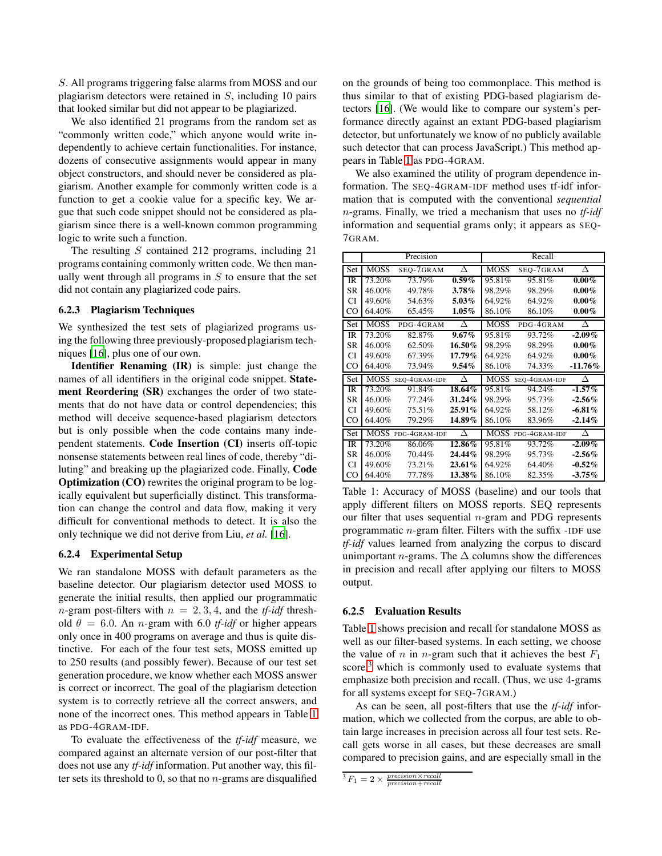S. All programs triggering false alarms from MOSS and our plagiarism detectors were retained in S, including 10 pairs that looked similar but did not appear to be plagiarized.

We also identified 21 programs from the random set as "commonly written code," which anyone would write independently to achieve certain functionalities. For instance, dozens of consecutive assignments would appear in many object constructors, and should never be considered as plagiarism. Another example for commonly written code is a function to get a cookie value for a specific key. We argue that such code snippet should not be considered as plagiarism since there is a well-known common programming logic to write such a function.

The resulting  $S$  contained 212 programs, including 21 programs containing commonly written code. We then manually went through all programs in  $S$  to ensure that the set did not contain any plagiarized code pairs.

## <span id="page-9-0"></span>6.2.3 Plagiarism Techniques

We synthesized the test sets of plagiarized programs using the following three previously-proposed plagiarism techniques [\[16\]](#page-13-5), plus one of our own.

Identifier Renaming (IR) is simple: just change the names of all identifiers in the original code snippet. Statement Reordering (SR) exchanges the order of two statements that do not have data or control dependencies; this method will deceive sequence-based plagiarism detectors but is only possible when the code contains many independent statements. Code Insertion (CI) inserts off-topic nonsense statements between real lines of code, thereby "diluting" and breaking up the plagiarized code. Finally, Code Optimization (CO) rewrites the original program to be logically equivalent but superficially distinct. This transformation can change the control and data flow, making it very difficult for conventional methods to detect. It is also the only technique we did not derive from Liu, *et al.* [\[16\]](#page-13-5).

#### 6.2.4 Experimental Setup

We ran standalone MOSS with default parameters as the baseline detector. Our plagiarism detector used MOSS to generate the initial results, then applied our programmatic *n*-gram post-filters with  $n = 2, 3, 4$ , and the *tf-idf* threshold  $\theta = 6.0$ . An *n*-gram with 6.0 *tf-idf* or higher appears only once in 400 programs on average and thus is quite distinctive. For each of the four test sets, MOSS emitted up to 250 results (and possibly fewer). Because of our test set generation procedure, we know whether each MOSS answer is correct or incorrect. The goal of the plagiarism detection system is to correctly retrieve all the correct answers, and none of the incorrect ones. This method appears in Table [1](#page-9-1) as PDG-4GRAM-IDF.

To evaluate the effectiveness of the *tf-idf* measure, we compared against an alternate version of our post-filter that does not use any *tf-idf* information. Put another way, this filter sets its threshold to 0, so that no  $n$ -grams are disqualified on the grounds of being too commonplace. This method is thus similar to that of existing PDG-based plagiarism detectors [\[16\]](#page-13-5). (We would like to compare our system's performance directly against an extant PDG-based plagiarism detector, but unfortunately we know of no publicly available such detector that can process JavaScript.) This method appears in Table [1](#page-9-1) as PDG-4GRAM.

We also examined the utility of program dependence information. The SEQ-4GRAM-IDF method uses tf-idf information that is computed with the conventional *sequential* n-grams. Finally, we tried a mechanism that uses no *tf-idf* information and sequential grams only; it appears as SEQ-7GRAM.

<span id="page-9-1"></span>

|             |             | Precision          |          |             | Recall             |            |
|-------------|-------------|--------------------|----------|-------------|--------------------|------------|
| Set         | <b>MOSS</b> | SEO-7GRAM          | Δ        | <b>MOSS</b> | SEO-7GRAM          | Δ          |
| IR          | 73.20%      | 73.79%             | $0.59\%$ | 95.81%      | 95.81%             | $0.00\%$   |
| SR          | 46.00%      | 49.78%             | 3.78%    | 98.29%      | 98.29%             | $0.00\%$   |
| <b>CI</b>   | 49.60%      | 54.63%             | $5.03\%$ | 64.92%      | 64.92%             | $0.00\%$   |
| CO          | 64.40%      | 65.45%             | $1.05\%$ | 86.10%      | 86.10%             | $0.00\%$   |
| Set         | <b>MOSS</b> | PDG-4GRAM          | Δ        | <b>MOSS</b> | PDG-4GRAM          | Л          |
| IR          | 73.20%      | 82.87%             | $9.67\%$ | 95.81%      | 93.72%             | $-2.09\%$  |
| <b>SR</b>   | 46.00%      | 62.50%             | 16.50%   | 98.29%      | 98.29%             | $0.00\%$   |
| CI          | 49.60%      | 67.39%             | 17.79%   | 64.92%      | 64.92%             | $0.00\%$   |
| CO          | 64.40%      | 73.94%             | $9.54\%$ | 86.10%      | 74.33%             | $-11.76\%$ |
| Set         | <b>MOSS</b> | SEQ-4GRAM-IDF      | Δ        | <b>MOSS</b> | SEQ-4GRAM-IDF      | Λ          |
| IR          | 73.20%      | 91.84%             | 18.64%   | 95.81%      | 94.24%             | $-1.57\%$  |
| SR          | 46.00%      | 77.24%             | 31.24%   | 98.29%      | 95.73%             | $-2.56\%$  |
| <b>CI</b>   | 49.60%      | 75.51%             | 25.91%   | 64.92%      | 58.12%             | $-6.81\%$  |
| $_{\rm CO}$ | 64.40%      | 79.29%             | 14.89%   | 86.10%      | 83.96%             | $-2.14%$   |
| Set         |             | MOSS PDG-4GRAM-IDF | Л        |             | MOSS PDG-4GRAM-IDF | Δ          |
| IR          | 73.20%      | 86.06%             | 12.86%   | 95.81%      | 93.72%             | $-2.09\%$  |
| SR          | 46.00%      | 70.44%             | 24.44%   | 98.29%      | 95.73%             | $-2.56\%$  |
| <b>CI</b>   | 49.60%      | 73.21%             | 23.61%   | 64.92%      | 64.40%             | $-0.52\%$  |
| CO          | 64.40%      | 77.78%             | 13.38%   | 86.10%      | 82.35%             | $-3.75\%$  |

Table 1: Accuracy of MOSS (baseline) and our tools that apply different filters on MOSS reports. SEQ represents our filter that uses sequential  $n$ -gram and PDG represents programmatic  $n$ -gram filter. Filters with the suffix -IDF use *tf-idf* values learned from analyzing the corpus to discard unimportant *n*-grams. The  $\Delta$  columns show the differences in precision and recall after applying our filters to MOSS output.

#### 6.2.5 Evaluation Results

Table [1](#page-9-1) shows precision and recall for standalone MOSS as well as our filter-based systems. In each setting, we choose the value of n in n-gram such that it achieves the best  $F_1$ score, $3$  which is commonly used to evaluate systems that emphasize both precision and recall. (Thus, we use 4-grams for all systems except for SEQ-7GRAM.)

As can be seen, all post-filters that use the *tf-idf* information, which we collected from the corpus, are able to obtain large increases in precision across all four test sets. Recall gets worse in all cases, but these decreases are small compared to precision gains, and are especially small in the

<span id="page-9-2"></span> ${}^{3}F_1 = 2 \times \frac{precision \times recall}{precision + recall}$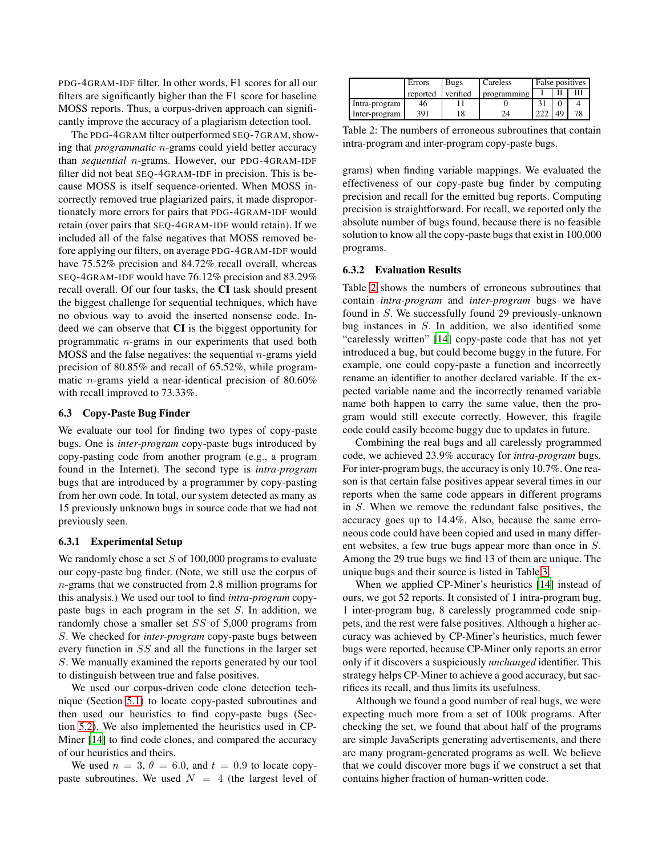PDG-4GRAM-IDF filter. In other words, F1 scores for all our filters are significantly higher than the F1 score for baseline MOSS reports. Thus, a corpus-driven approach can significantly improve the accuracy of a plagiarism detection tool.

The PDG-4GRAM filter outperformed SEQ-7GRAM, showing that *programmatic* n-grams could yield better accuracy than *sequential* n-grams. However, our PDG-4GRAM-IDF filter did not beat SEQ-4GRAM-IDF in precision. This is because MOSS is itself sequence-oriented. When MOSS incorrectly removed true plagiarized pairs, it made disproportionately more errors for pairs that PDG-4GRAM-IDF would retain (over pairs that SEQ-4GRAM-IDF would retain). If we included all of the false negatives that MOSS removed before applying our filters, on average PDG-4GRAM-IDF would have 75.52% precision and 84.72% recall overall, whereas SEQ-4GRAM-IDF would have 76.12% precision and 83.29% recall overall. Of our four tasks, the CI task should present the biggest challenge for sequential techniques, which have no obvious way to avoid the inserted nonsense code. Indeed we can observe that CI is the biggest opportunity for programmatic n-grams in our experiments that used both  $MOSS$  and the false negatives: the sequential *n*-grams yield precision of 80.85% and recall of 65.52%, while programmatic n-grams yield a near-identical precision of 80.60% with recall improved to 73.33%.

#### 6.3 Copy-Paste Bug Finder

We evaluate our tool for finding two types of copy-paste bugs. One is *inter-program* copy-paste bugs introduced by copy-pasting code from another program (e.g., a program found in the Internet). The second type is *intra-program* bugs that are introduced by a programmer by copy-pasting from her own code. In total, our system detected as many as 15 previously unknown bugs in source code that we had not previously seen.

#### 6.3.1 Experimental Setup

We randomly chose a set  $S$  of 100,000 programs to evaluate our copy-paste bug finder. (Note, we still use the corpus of n-grams that we constructed from 2.8 million programs for this analysis.) We used our tool to find *intra-program* copypaste bugs in each program in the set S. In addition, we randomly chose a smaller set SS of 5,000 programs from S. We checked for *inter-program* copy-paste bugs between every function in SS and all the functions in the larger set S. We manually examined the reports generated by our tool to distinguish between true and false positives.

We used our corpus-driven code clone detection technique (Section [5.1\)](#page-7-0) to locate copy-pasted subroutines and then used our heuristics to find copy-paste bugs (Section [5.2\)](#page-7-1). We also implemented the heuristics used in CP-Miner [\[14\]](#page-13-8) to find code clones, and compared the accuracy of our heuristics and theirs.

We used  $n = 3$ ,  $\theta = 6.0$ , and  $t = 0.9$  to locate copypaste subroutines. We used  $N = 4$  (the largest level of

<span id="page-10-0"></span>

|               | Errors   | <b>Bugs</b> | Careless    | False positives |  |  |
|---------------|----------|-------------|-------------|-----------------|--|--|
|               | reported | verified    | programming |                 |  |  |
| Intra-program | 46       |             |             |                 |  |  |
| Inter-program | 391      | 18          | 24          |                 |  |  |

Table 2: The numbers of erroneous subroutines that contain intra-program and inter-program copy-paste bugs.

grams) when finding variable mappings. We evaluated the effectiveness of our copy-paste bug finder by computing precision and recall for the emitted bug reports. Computing precision is straightforward. For recall, we reported only the absolute number of bugs found, because there is no feasible solution to know all the copy-paste bugs that exist in 100,000 programs.

#### 6.3.2 Evaluation Results

Table [2](#page-10-0) shows the numbers of erroneous subroutines that contain *intra-program* and *inter-program* bugs we have found in S. We successfully found 29 previously-unknown bug instances in S. In addition, we also identified some "carelessly written" [\[14\]](#page-13-8) copy-paste code that has not yet introduced a bug, but could become buggy in the future. For example, one could copy-paste a function and incorrectly rename an identifier to another declared variable. If the expected variable name and the incorrectly renamed variable name both happen to carry the same value, then the program would still execute correctly. However, this fragile code could easily become buggy due to updates in future.

Combining the real bugs and all carelessly programmed code, we achieved 23.9% accuracy for *intra-program* bugs. For inter-program bugs, the accuracy is only 10.7%. One reason is that certain false positives appear several times in our reports when the same code appears in different programs in S. When we remove the redundant false positives, the accuracy goes up to 14.4%. Also, because the same erroneous code could have been copied and used in many different websites, a few true bugs appear more than once in S. Among the 29 true bugs we find 13 of them are unique. The unique bugs and their source is listed in Table [3.](#page-11-1)

When we applied CP-Miner's heuristics [\[14](#page-13-8)] instead of ours, we got 52 reports. It consisted of 1 intra-program bug, 1 inter-program bug, 8 carelessly programmed code snippets, and the rest were false positives. Although a higher accuracy was achieved by CP-Miner's heuristics, much fewer bugs were reported, because CP-Miner only reports an error only if it discovers a suspiciously *unchanged* identifier. This strategy helps CP-Miner to achieve a good accuracy, but sacrifices its recall, and thus limits its usefulness.

Although we found a good number of real bugs, we were expecting much more from a set of 100k programs. After checking the set, we found that about half of the programs are simple JavaScripts generating advertisements, and there are many program-generated programs as well. We believe that we could discover more bugs if we construct a set that contains higher fraction of human-written code.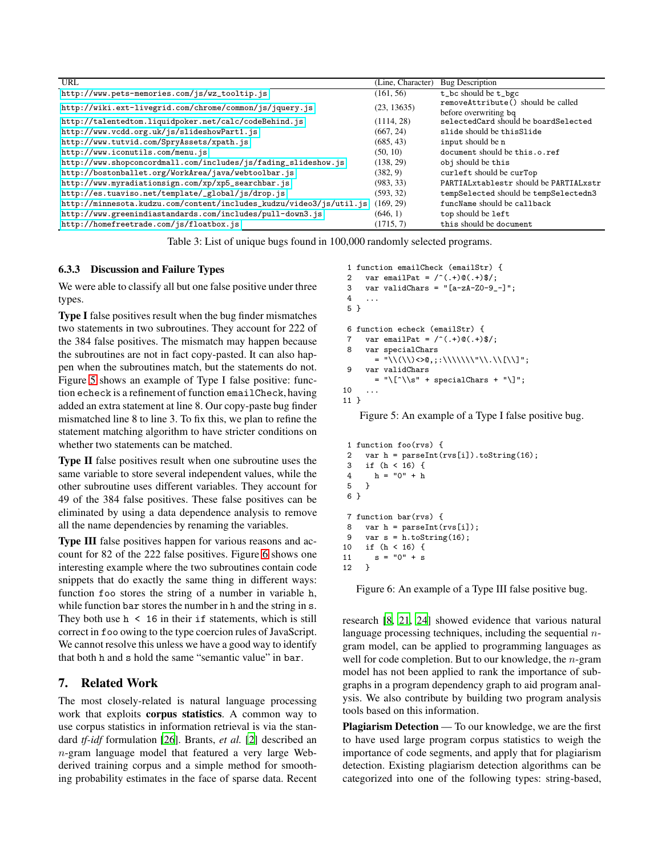<span id="page-11-1"></span>

| URL                                                                 | (Line, Character) | Bug Description                                             |
|---------------------------------------------------------------------|-------------------|-------------------------------------------------------------|
| http://www.pets-memories.com/js/wz_tooltip.js                       | (161, 56)         | $t_{bc}$ should be $t_{bc}$                                 |
| http://wiki.ext-livegrid.com/chrome/common/js/jquery.js             | (23, 13635)       | removeAttribute() should be called<br>before overwriting bq |
| http://talentedtom.liquidpoker.net/calc/codeBehind.js               | (1114, 28)        | selectedCard should be boardSelected                        |
| http://www.vcdd.org.uk/js/slideshowPart1.js                         | (667, 24)         | slide should be thisSlide                                   |
| http://www.tutvid.com/SpryAssets/xpath.js                           | (685, 43)         | input should be n                                           |
| http://www.iconutils.com/menu.js                                    | (50, 10)          | document should be this.o.ref                               |
| http://www.shopconcordmall.com/includes/js/fading_slideshow.js      | (138, 29)         | obj should be this                                          |
| http://bostonballet.org/WorkArea/java/webtoolbar.js                 | (382, 9)          | curleft should be curTop                                    |
| http://www.myradiationsign.com/xp/xp5_searchbar.js                  | (983, 33)         | PARTIAL xtablestr should be PARTIAL xstr                    |
| http://es.tuaviso.net/template/_global/js/drop.js                   | (593, 32)         | tempSelected should be tempSelectedn3                       |
| http://minnesota.kudzu.com/content/includes_kudzu/video3/js/util.js | (169, 29)         | funcName should be callback                                 |
| http://www.greenindiastandards.com/includes/pull-down3.js           | (646, 1)          | top should be left                                          |
| http://homefreetrade.com/js/floatbox.js                             | (1715, 7)         | this should be document                                     |

Table 3: List of unique bugs found in 100,000 randomly selected programs.

#### 6.3.3 Discussion and Failure Types

We were able to classify all but one false positive under three types.

Type I false positives result when the bug finder mismatches two statements in two subroutines. They account for 222 of the 384 false positives. The mismatch may happen because the subroutines are not in fact copy-pasted. It can also happen when the subroutines match, but the statements do not. Figure [5](#page-11-2) shows an example of Type I false positive: function echeck is a refinement of function emailCheck, having added an extra statement at line 8. Our copy-paste bug finder mismatched line 8 to line 3. To fix this, we plan to refine the statement matching algorithm to have stricter conditions on whether two statements can be matched.

Type II false positives result when one subroutine uses the same variable to store several independent values, while the other subroutine uses different variables. They account for 49 of the 384 false positives. These false positives can be eliminated by using a data dependence analysis to remove all the name dependencies by renaming the variables.

Type III false positives happen for various reasons and account for 82 of the 222 false positives. Figure [6](#page-11-3) shows one interesting example where the two subroutines contain code snippets that do exactly the same thing in different ways: function foo stores the string of a number in variable h, while function bar stores the number in h and the string in s. They both use  $h \leq 16$  in their if statements, which is still correct in foo owing to the type coercion rules of JavaScript. We cannot resolve this unless we have a good way to identify that both h and s hold the same "semantic value" in bar.

# <span id="page-11-0"></span>7. Related Work

The most closely-related is natural language processing work that exploits corpus statistics. A common way to use corpus statistics in information retrieval is via the standard *tf-idf* formulation [\[26\]](#page-13-0). Brants, *et al.* [\[2](#page-12-0)] described an n-gram language model that featured a very large Webderived training corpus and a simple method for smoothing probability estimates in the face of sparse data. Recent

```
1 function emailCheck (emailStr) {
2 var emailPat = /^(. +) (0(. +)$/;
3 var validChars = "[a-zA-Z0-9,-]';
4 ...
5 }
6 function echeck (emailStr) {
7 var emailPat = /^{\sim}(.+) ((.+)$/;
8 var specialChars
      = "\\(\\)<>@,;:\\\\\\\"\\.\\[\\]";
9 var validChars
     = "\[^\\s" + specialChars + "\]";
10 ...
11 }
```
Figure 5: An example of a Type I false positive bug.

```
1 function foo(rvs) {
 2 var h = parseInt(rvs[i]).toString(16);
 3 if (h < 16) {
 4 h = "0" + h5 }
 6 }
 7 function bar(rvs) {
8 var h = parseInt(rvs[i]);<br>9 var s = h.toString(16):
     var s = h.toString(16);
10 if (h < 16) {
11 s = "0" + s12 }
```
Figure 6: An example of a Type III false positive bug.

research [\[8,](#page-12-13) [21](#page-13-15), [24\]](#page-13-16) showed evidence that various natural language processing techniques, including the sequential  $n$ gram model, can be applied to programming languages as well for code completion. But to our knowledge, the  $n$ -gram model has not been applied to rank the importance of subgraphs in a program dependency graph to aid program analysis. We also contribute by building two program analysis tools based on this information.

Plagiarism Detection — To our knowledge, we are the first to have used large program corpus statistics to weigh the importance of code segments, and apply that for plagiarism detection. Existing plagiarism detection algorithms can be categorized into one of the following types: string-based,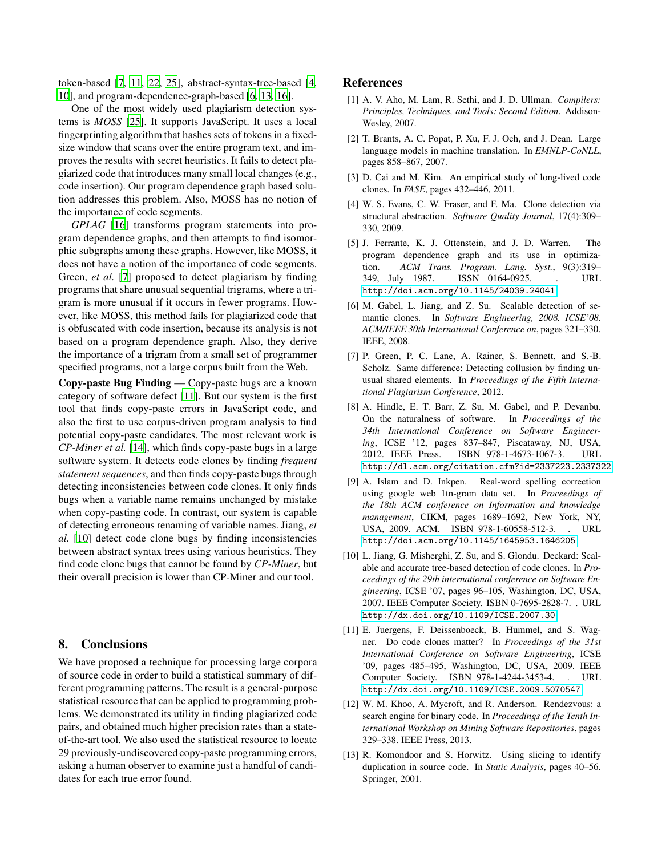token-based [\[7](#page-12-4), [11,](#page-12-6) [22](#page-13-6), [25\]](#page-13-7), abstract-syntax-tree-based [\[4,](#page-12-2) [10\]](#page-12-5), and program-dependence-graph-based [\[6](#page-12-3), [13,](#page-12-7) [16\]](#page-13-5).

One of the most widely used plagiarism detection systems is *MOSS* [\[25\]](#page-13-7). It supports JavaScript. It uses a local fingerprinting algorithm that hashes sets of tokens in a fixedsize window that scans over the entire program text, and improves the results with secret heuristics. It fails to detect plagiarized code that introduces many small local changes (e.g., code insertion). Our program dependence graph based solution addresses this problem. Also, MOSS has no notion of the importance of code segments.

*GPLAG* [\[16\]](#page-13-5) transforms program statements into program dependence graphs, and then attempts to find isomorphic subgraphs among these graphs. However, like MOSS, it does not have a notion of the importance of code segments. Green, *et al.* [\[7](#page-12-4)] proposed to detect plagiarism by finding programs that share unusual sequential trigrams, where a trigram is more unusual if it occurs in fewer programs. However, like MOSS, this method fails for plagiarized code that is obfuscated with code insertion, because its analysis is not based on a program dependence graph. Also, they derive the importance of a trigram from a small set of programmer specified programs, not a large corpus built from the Web.

Copy-paste Bug Finding — Copy-paste bugs are a known category of software defect [\[11](#page-12-6)]. But our system is the first tool that finds copy-paste errors in JavaScript code, and also the first to use corpus-driven program analysis to find potential copy-paste candidates. The most relevant work is *CP-Miner et al.* [\[14\]](#page-13-8), which finds copy-paste bugs in a large software system. It detects code clones by finding *frequent statement sequences*, and then finds copy-paste bugs through detecting inconsistencies between code clones. It only finds bugs when a variable name remains unchanged by mistake when copy-pasting code. In contrast, our system is capable of detecting erroneous renaming of variable names. Jiang, *et al.* [\[10\]](#page-12-5) detect code clone bugs by finding inconsistencies between abstract syntax trees using various heuristics. They find code clone bugs that cannot be found by *CP-Miner*, but their overall precision is lower than CP-Miner and our tool.

## <span id="page-12-11"></span>8. Conclusions

We have proposed a technique for processing large corpora of source code in order to build a statistical summary of different programming patterns. The result is a general-purpose statistical resource that can be applied to programming problems. We demonstrated its utility in finding plagiarized code pairs, and obtained much higher precision rates than a stateof-the-art tool. We also used the statistical resource to locate 29 previously-undiscovered copy-paste programming errors, asking a human observer to examine just a handful of candidates for each true error found.

## References

- <span id="page-12-10"></span>[1] A. V. Aho, M. Lam, R. Sethi, and J. D. Ullman. *Compilers: Principles, Techniques, and Tools: Second Edition*. Addison-Wesley, 2007.
- <span id="page-12-0"></span>[2] T. Brants, A. C. Popat, P. Xu, F. J. Och, and J. Dean. Large language models in machine translation. In *EMNLP-CoNLL*, pages 858–867, 2007.
- <span id="page-12-8"></span>[3] D. Cai and M. Kim. An empirical study of long-lived code clones. In *FASE*, pages 432–446, 2011.
- <span id="page-12-2"></span>[4] W. S. Evans, C. W. Fraser, and F. Ma. Clone detection via structural abstraction. *Software Quality Journal*, 17(4):309– 330, 2009.
- <span id="page-12-12"></span>[5] J. Ferrante, K. J. Ottenstein, and J. D. Warren. The program dependence graph and its use in optimization. *ACM Trans. Program. Lang. Syst.*, 9(3):319– 349, July 1987. ISSN 0164-0925. . URL <http://doi.acm.org/10.1145/24039.24041>.
- <span id="page-12-3"></span>[6] M. Gabel, L. Jiang, and Z. Su. Scalable detection of semantic clones. In *Software Engineering, 2008. ICSE'08. ACM/IEEE 30th International Conference on*, pages 321–330. IEEE, 2008.
- <span id="page-12-4"></span>[7] P. Green, P. C. Lane, A. Rainer, S. Bennett, and S.-B. Scholz. Same difference: Detecting collusion by finding unusual shared elements. In *Proceedings of the Fifth International Plagiarism Conference*, 2012.
- <span id="page-12-13"></span>[8] A. Hindle, E. T. Barr, Z. Su, M. Gabel, and P. Devanbu. On the naturalness of software. In *Proceedings of the 34th International Conference on Software Engineering*, ICSE '12, pages 837–847, Piscataway, NJ, USA, 2012. IEEE Press. ISBN 978-1-4673-1067-3. URL <http://dl.acm.org/citation.cfm?id=2337223.2337322>.
- <span id="page-12-1"></span>[9] A. Islam and D. Inkpen. Real-word spelling correction using google web 1tn-gram data set. In *Proceedings of the 18th ACM conference on Information and knowledge management*, CIKM, pages 1689–1692, New York, NY, USA, 2009. ACM. ISBN 978-1-60558-512-3. . URL <http://doi.acm.org/10.1145/1645953.1646205>.
- <span id="page-12-5"></span>[10] L. Jiang, G. Misherghi, Z. Su, and S. Glondu. Deckard: Scalable and accurate tree-based detection of code clones. In *Proceedings of the 29th international conference on Software Engineering*, ICSE '07, pages 96–105, Washington, DC, USA, 2007. IEEE Computer Society. ISBN 0-7695-2828-7. . URL <http://dx.doi.org/10.1109/ICSE.2007.30>.
- <span id="page-12-6"></span>[11] E. Juergens, F. Deissenboeck, B. Hummel, and S. Wagner. Do code clones matter? In *Proceedings of the 31st International Conference on Software Engineering*, ICSE '09, pages 485–495, Washington, DC, USA, 2009. IEEE Computer Society. ISBN 978-1-4244-3453-4. . URL <http://dx.doi.org/10.1109/ICSE.2009.5070547>.
- <span id="page-12-9"></span>[12] W. M. Khoo, A. Mycroft, and R. Anderson. Rendezvous: a search engine for binary code. In *Proceedings of the Tenth International Workshop on Mining Software Repositories*, pages 329–338. IEEE Press, 2013.
- <span id="page-12-7"></span>[13] R. Komondoor and S. Horwitz. Using slicing to identify duplication in source code. In *Static Analysis*, pages 40–56. Springer, 2001.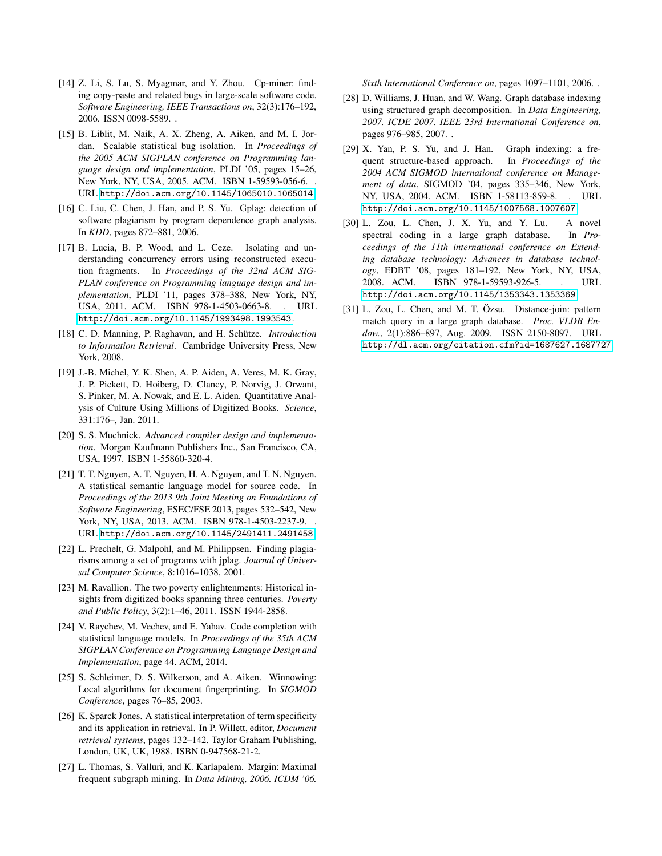- <span id="page-13-8"></span>[14] Z. Li, S. Lu, S. Myagmar, and Y. Zhou. Cp-miner: finding copy-paste and related bugs in large-scale software code. *Software Engineering, IEEE Transactions on*, 32(3):176–192, 2006. ISSN 0098-5589. .
- <span id="page-13-3"></span>[15] B. Liblit, M. Naik, A. X. Zheng, A. Aiken, and M. I. Jordan. Scalable statistical bug isolation. In *Proceedings of the 2005 ACM SIGPLAN conference on Programming language design and implementation*, PLDI '05, pages 15–26, New York, NY, USA, 2005. ACM. ISBN 1-59593-056-6. . URL <http://doi.acm.org/10.1145/1065010.1065014>.
- <span id="page-13-5"></span>[16] C. Liu, C. Chen, J. Han, and P. S. Yu. Gplag: detection of software plagiarism by program dependence graph analysis. In *KDD*, pages 872–881, 2006.
- <span id="page-13-4"></span>[17] B. Lucia, B. P. Wood, and L. Ceze. Isolating and understanding concurrency errors using reconstructed execution fragments. In *Proceedings of the 32nd ACM SIG-PLAN conference on Programming language design and implementation*, PLDI '11, pages 378–388, New York, NY, USA, 2011. ACM. ISBN 978-1-4503-0663-8. . URL <http://doi.acm.org/10.1145/1993498.1993543>.
- <span id="page-13-10"></span>[18] C. D. Manning, P. Raghavan, and H. Schütze. *Introduction to Information Retrieval*. Cambridge University Press, New York, 2008.
- <span id="page-13-1"></span>[19] J.-B. Michel, Y. K. Shen, A. P. Aiden, A. Veres, M. K. Gray, J. P. Pickett, D. Hoiberg, D. Clancy, P. Norvig, J. Orwant, S. Pinker, M. A. Nowak, and E. L. Aiden. Quantitative Analysis of Culture Using Millions of Digitized Books. *Science*, 331:176–, Jan. 2011.
- <span id="page-13-9"></span>[20] S. S. Muchnick. *Advanced compiler design and implementation*. Morgan Kaufmann Publishers Inc., San Francisco, CA, USA, 1997. ISBN 1-55860-320-4.
- <span id="page-13-15"></span>[21] T. T. Nguyen, A. T. Nguyen, H. A. Nguyen, and T. N. Nguyen. A statistical semantic language model for source code. In *Proceedings of the 2013 9th Joint Meeting on Foundations of Software Engineering*, ESEC/FSE 2013, pages 532–542, New York, NY, USA, 2013. ACM. ISBN 978-1-4503-2237-9. . URL <http://doi.acm.org/10.1145/2491411.2491458>.
- <span id="page-13-6"></span>[22] L. Prechelt, G. Malpohl, and M. Philippsen. Finding plagiarisms among a set of programs with jplag. *Journal of Universal Computer Science*, 8:1016–1038, 2001.
- <span id="page-13-2"></span>[23] M. Ravallion. The two poverty enlightenments: Historical insights from digitized books spanning three centuries. *Poverty and Public Policy*, 3(2):1–46, 2011. ISSN 1944-2858.
- <span id="page-13-16"></span>[24] V. Raychev, M. Vechev, and E. Yahav. Code completion with statistical language models. In *Proceedings of the 35th ACM SIGPLAN Conference on Programming Language Design and Implementation*, page 44. ACM, 2014.
- <span id="page-13-7"></span>[25] S. Schleimer, D. S. Wilkerson, and A. Aiken. Winnowing: Local algorithms for document fingerprinting. In *SIGMOD Conference*, pages 76–85, 2003.
- <span id="page-13-0"></span>[26] K. Sparck Jones. A statistical interpretation of term specificity and its application in retrieval. In P. Willett, editor, *Document retrieval systems*, pages 132–142. Taylor Graham Publishing, London, UK, UK, 1988. ISBN 0-947568-21-2.
- <span id="page-13-14"></span>[27] L. Thomas, S. Valluri, and K. Karlapalem. Margin: Maximal frequent subgraph mining. In *Data Mining, 2006. ICDM '06.*

*Sixth International Conference on*, pages 1097–1101, 2006. .

- <span id="page-13-12"></span>[28] D. Williams, J. Huan, and W. Wang. Graph database indexing using structured graph decomposition. In *Data Engineering, 2007. ICDE 2007. IEEE 23rd International Conference on*, pages 976–985, 2007. .
- [29] X. Yan, P. S. Yu, and J. Han. Graph indexing: a frequent structure-based approach. In *Proceedings of the 2004 ACM SIGMOD international conference on Management of data*, SIGMOD '04, pages 335–346, New York, NY, USA, 2004. ACM. ISBN 1-58113-859-8. . URL <http://doi.acm.org/10.1145/1007568.1007607>.
- <span id="page-13-13"></span>[30] L. Zou, L. Chen, J. X. Yu, and Y. Lu. A novel spectral coding in a large graph database. In *Proceedings of the 11th international conference on Extending database technology: Advances in database technology*, EDBT '08, pages 181–192, New York, NY, USA, 2008. ACM. ISBN 978-1-59593-926-5. . URL <http://doi.acm.org/10.1145/1353343.1353369>.
- <span id="page-13-11"></span>[31] L. Zou, L. Chen, and M. T. Özsu. Distance-join: pattern match query in a large graph database. *Proc. VLDB Endow.*, 2(1):886–897, Aug. 2009. ISSN 2150-8097. URL <http://dl.acm.org/citation.cfm?id=1687627.1687727>.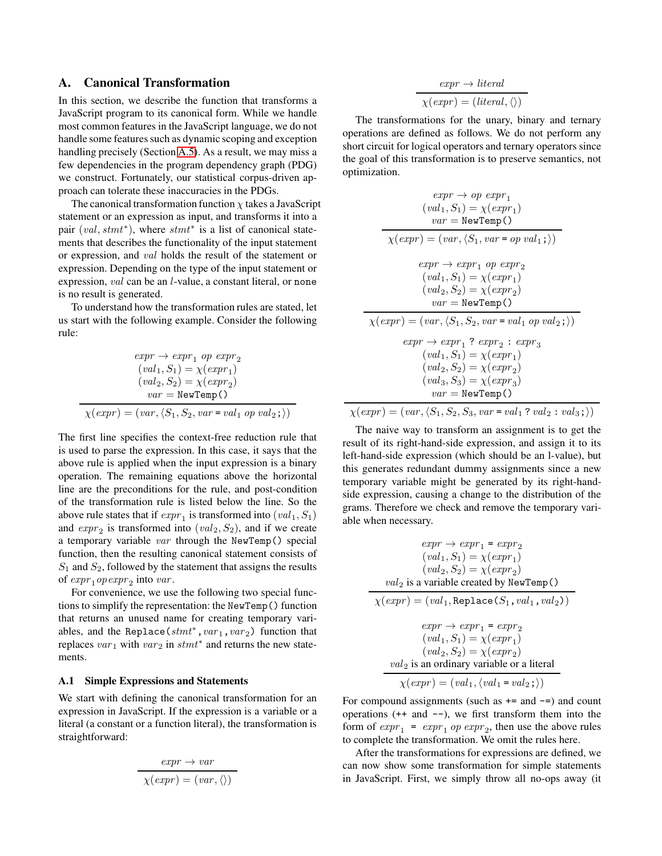# <span id="page-14-0"></span>A. Canonical Transformation

In this section, we describe the function that transforms a JavaScript program to its canonical form. While we handle most common features in the JavaScript language, we do not handle some features such as dynamic scoping and exception handling precisely (Section [A.5\)](#page-16-0). As a result, we may miss a few dependencies in the program dependency graph (PDG) we construct. Fortunately, our statistical corpus-driven approach can tolerate these inaccuracies in the PDGs.

The canonical transformation function  $\chi$  takes a JavaScript statement or an expression as input, and transforms it into a pair  $(val, \text{stmt}^*)$ , where  $\text{stmt}^*$  is a list of canonical statements that describes the functionality of the input statement or expression, and val holds the result of the statement or expression. Depending on the type of the input statement or expression, val can be an l-value, a constant literal, or none is no result is generated.

To understand how the transformation rules are stated, let us start with the following example. Consider the following rule:

$$
expr \rightarrow expr_1 \text{ op } expr_2
$$
  
\n
$$
(val_1, S_1) = \chi(exp_1)
$$
  
\n
$$
(val_2, S_2) = \chi(exp_2)
$$
  
\n
$$
var = \text{NewTemp}()
$$
  
\n
$$
\chi(expr) = (var, \langle S_1, S_2, var = val_1 \text{ op } val_2; \rangle)
$$

The first line specifies the context-free reduction rule that is used to parse the expression. In this case, it says that the above rule is applied when the input expression is a binary operation. The remaining equations above the horizontal line are the preconditions for the rule, and post-condition of the transformation rule is listed below the line. So the above rule states that if  $\exp r_1$  is transformed into  $(\mathit{val}_1, S_1)$ and  $\exp r_2$  is transformed into  $(\textit{val}_2, S_2)$ , and if we create a temporary variable var through the NewTemp() special function, then the resulting canonical statement consists of  $S_1$  and  $S_2$ , followed by the statement that assigns the results of  $\exp r_1$  op  $\exp r_2$  into  $var$ .

For convenience, we use the following two special functions to simplify the representation: the NewTemp() function that returns an unused name for creating temporary variables, and the Replace( $stmt^*$ ,  $var_1$ ,  $var_2$ ) function that replaces  $var_1$  with  $var_2$  in  $stmt^*$  and returns the new statements.

#### A.1 Simple Expressions and Statements

We start with defining the canonical transformation for an expression in JavaScript. If the expression is a variable or a literal (a constant or a function literal), the transformation is straightforward:

$$
expr \rightarrow var
$$

$$
\chi(expr) = (var, \langle \rangle)
$$

$$
expr \rightarrow literal
$$

$$
\chi(expr) = (literal, \langle \rangle)
$$

The transformations for the unary, binary and ternary operations are defined as follows. We do not perform any short circuit for logical operators and ternary operators since the goal of this transformation is to preserve semantics, not optimization.

$$
expr \rightarrow op \; expr_1
$$
  
\n
$$
(val_1, S_1) = \chi(exp_1)
$$
  
\n
$$
var = NewTemp()
$$
  
\n
$$
\chi(expr) = (var, \langle S_1, var = op val_1; \rangle)
$$
  
\n
$$
expr \rightarrow expr_1 \; op \; expr_2
$$
  
\n
$$
(val_1, S_1) = \chi(expr_1)
$$
  
\n
$$
(val_2, S_2) = \chi(expr_2)
$$
  
\n
$$
var = NewTemp()
$$
  
\n
$$
\chi(expr) = (var, \langle S_1, S_2, var = val_1 \; op \; val_2; \rangle)
$$
  
\n
$$
expr \rightarrow expr_1 \; ? \; expr_2 : expr_3
$$
  
\n
$$
(val_1, S_1) = \chi(expr_1)
$$
  
\n
$$
(val_2, S_2) = \chi(expr_2)
$$
  
\n
$$
(val_3, S_3) = \chi(expr_3)
$$
  
\n
$$
var = NewTemp()
$$
  
\n
$$
\chi(expr) = (var, \langle S_1, S_2, S_3, var = val_1 \; ? \; val_2 : val_3; \rangle)
$$

The naive way to transform an assignment is to get the result of its right-hand-side expression, and assign it to its left-hand-side expression (which should be an l-value), but this generates redundant dummy assignments since a new temporary variable might be generated by its right-handside expression, causing a change to the distribution of the grams. Therefore we check and remove the temporary variable when necessary.

$$
expr \rightarrow expr_1 = expr_2
$$
  
\n
$$
(val_1, S_1) = \chi(expr_1)
$$
  
\n
$$
(val_2, S_2) = \chi(expr_2)
$$
  
\n
$$
val_2
$$
 is a variable created by NewTemp()  
\n
$$
\chi(expr) = (val_1, \text{Replace}(S_1, val_1, val_2))
$$
  
\n
$$
expr \rightarrow expr_1 = expr_2
$$
  
\n
$$
(val_1, S_1) = \chi(expr_1)
$$
  
\n
$$
(val_2, S_2) = \chi(expr_2)
$$
  
\n
$$
val_2
$$
 is an ordinary variable or a literal  
\n
$$
\chi(expr) = (val_1, \langle val_1 = val_2; \rangle)
$$

For compound assignments (such as  $+=$  and  $==$ ) and count operations  $(+$  and  $--)$ , we first transform them into the form of  $expr_1 = expr_1 op expr_2$ , then use the above rules to complete the transformation. We omit the rules here.

After the transformations for expressions are defined, we can now show some transformation for simple statements in JavaScript. First, we simply throw all no-ops away (it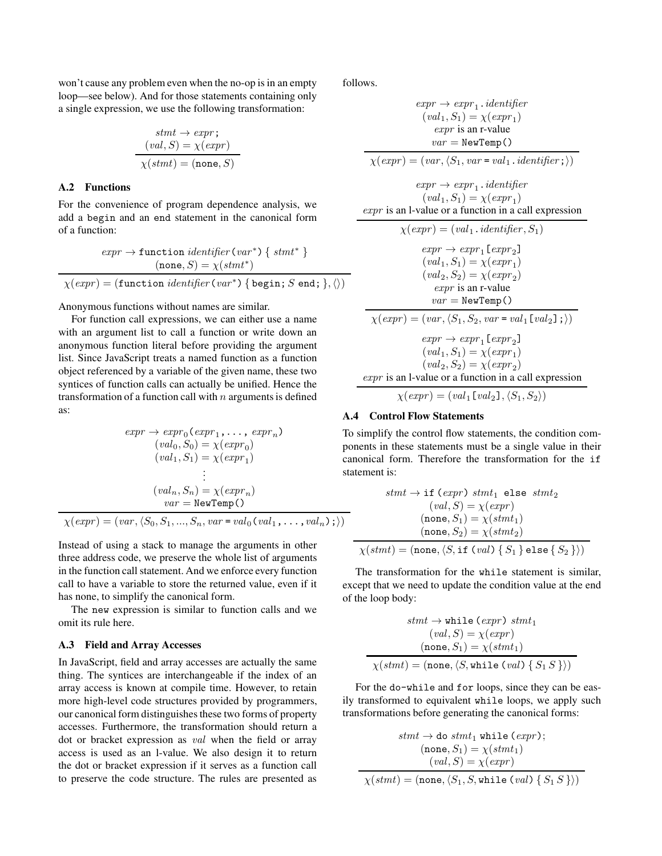won't cause any problem even when the no-op is in an empty loop—see below). And for those statements containing only a single expression, we use the following transformation:

$$
stmt \rightarrow expr;
$$
  
(*val*, *S*) =  $\chi(exp)$   
 $\chi(stmt) = (none, S)$ 

## A.2 Functions

For the convenience of program dependence analysis, we add a begin and an end statement in the canonical form of a function:

$$
expr \rightarrow \textbf{function } identifier \left( var^* \right) \{ \text{ }stm^* \}
$$
\n
$$
\left( \text{none}, S \right) = \chi \left( \text{stm}^* \right)
$$
\n
$$
\chi (expr) = (\textbf{function } identifier \left( var^* \right) \{ \text{begin}; S \text{ end}; \}, \langle \rangle)
$$

Anonymous functions without names are similar.

For function call expressions, we can either use a name with an argument list to call a function or write down an anonymous function literal before providing the argument list. Since JavaScript treats a named function as a function object referenced by a variable of the given name, these two syntices of function calls can actually be unified. Hence the transformation of a function call with  $n$  arguments is defined as:

$$
expr \rightarrow expr_0(expr_1, \dots, expr_n)
$$
  
\n
$$
(val_0, S_0) = \chi(expr_0)
$$
  
\n
$$
(val_1, S_1) = \chi(expr_1)
$$
  
\n
$$
\vdots
$$
  
\n
$$
(val_n, S_n) = \chi(expr_n)
$$
  
\n
$$
var = \text{NewTemp}()
$$

$$
\chi(expr) = (var, \langle S_0, S_1, ..., S_n, var = val_0(val_1, ..., val_n) ; \rangle)
$$

Instead of using a stack to manage the arguments in other three address code, we preserve the whole list of arguments in the function call statement. And we enforce every function call to have a variable to store the returned value, even if it has none, to simplify the canonical form.

The new expression is similar to function calls and we omit its rule here.

#### A.3 Field and Array Accesses

In JavaScript, field and array accesses are actually the same thing. The syntices are interchangeable if the index of an array access is known at compile time. However, to retain more high-level code structures provided by programmers, our canonical form distinguishes these two forms of property accesses. Furthermore, the transformation should return a dot or bracket expression as val when the field or array access is used as an l-value. We also design it to return the dot or bracket expression if it serves as a function call to preserve the code structure. The rules are presented as

follows.

$$
expr \rightarrow expr_1 \cdot identifier
$$
\n
$$
(val_1, S_1) = \chi(expr_1)
$$
\n
$$
expr \text{ is an r-value}
$$
\n
$$
\text{var} = \text{NewTemp}()
$$
\n
$$
\chi(expr) = (var, \langle S_1, var = val_1 \cdot identifier; \rangle)
$$
\n
$$
expr \rightarrow expr_1 \cdot identifier
$$
\n
$$
(val_1, S_1) = \chi(expr_1)
$$
\n
$$
expr \text{ is an l-value or a function in a call expression}
$$
\n
$$
\chi(expr) = (val_1 \cdot identifier, S_1)
$$
\n
$$
expr \rightarrow expr_1 [expr_2]
$$
\n
$$
(val_1, S_1) = \chi(expr_1)
$$
\n
$$
(val_2, S_2) = \chi(expr_1)
$$
\n
$$
expr \text{ is an r-value}
$$
\n
$$
\text{var} = \text{NewTemp}()
$$
\n
$$
\chi(expr) = (var, \langle S_1, S_2, var = val_1 [val_2]; \rangle)
$$
\n
$$
expr \rightarrow expr_1 [expr_2]
$$
\n
$$
(val_1, S_1) = \chi(expr_1)
$$
\n
$$
(val_2, S_2) = \chi(expr_1)
$$
\n
$$
(val_2, S_2) = \chi(expr_2)
$$
\n
$$
expr \text{ is an l-value or a function in a call expression}
$$
\n
$$
\chi(expr) = (val_1 [val_2], \langle S_1, S_2 \rangle)
$$

#### A.4 Control Flow Statements

To simplify the control flow statements, the condition components in these statements must be a single value in their canonical form. Therefore the transformation for the if statement is:

$$
stmt \rightarrow \text{if } (expr) \text{ }stmt_1 \text{ } else \text{ }stmt_2
$$
\n
$$
(val, S) = \chi(expr)
$$
\n
$$
(\text{none}, S_1) = \chi(stmt_1)
$$
\n
$$
(\text{none}, S_2) = \chi(stmt_2)
$$
\n
$$
\chi(stmt) = (\text{none}, \langle S, \text{if } (val) \{ S_1 \} \text{ } else \{ S_2 \} \rangle)
$$

The transformation for the while statement is similar, except that we need to update the condition value at the end of the loop body:

$$
stmt \rightarrow \text{while } (expr) \text{ } stmt_1
$$
\n
$$
(val, S) = \chi(exp)
$$
\n
$$
(\text{none}, S_1) = \chi(stmt_1)
$$
\n
$$
\chi(stmt) = (\text{none}, \langle S, \text{while } (val) \{ S_1 S \} \rangle)
$$

For the do-while and for loops, since they can be easily transformed to equivalent while loops, we apply such transformations before generating the canonical forms:

$$
stmt \rightarrow do \;stm1 \; \text{while} \; (expr);\n(\text{none}, S_1) = \chi (stmt_1) \n(\; val, S) = \chi (expr) \n\chi (stmt) = (\text{none}, \langle S_1, S, \text{while } (val) \; \{ S_1 S \} \rangle)
$$